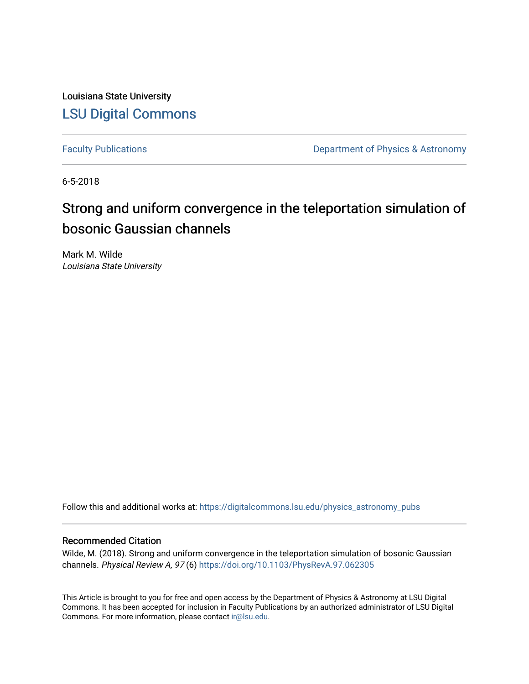Louisiana State University [LSU Digital Commons](https://digitalcommons.lsu.edu/)

[Faculty Publications](https://digitalcommons.lsu.edu/physics_astronomy_pubs) **Exercise 2 and Table 2 and Table 2 and Table 2 and Table 2 and Table 2 and Table 2 and Table 2 and Table 2 and Table 2 and Table 2 and Table 2 and Table 2 and Table 2 and Table 2 and Table 2 and Table** 

6-5-2018

### Strong and uniform convergence in the teleportation simulation of bosonic Gaussian channels

Mark M. Wilde Louisiana State University

Follow this and additional works at: [https://digitalcommons.lsu.edu/physics\\_astronomy\\_pubs](https://digitalcommons.lsu.edu/physics_astronomy_pubs?utm_source=digitalcommons.lsu.edu%2Fphysics_astronomy_pubs%2F5639&utm_medium=PDF&utm_campaign=PDFCoverPages) 

#### Recommended Citation

Wilde, M. (2018). Strong and uniform convergence in the teleportation simulation of bosonic Gaussian channels. Physical Review A, 97 (6) <https://doi.org/10.1103/PhysRevA.97.062305>

This Article is brought to you for free and open access by the Department of Physics & Astronomy at LSU Digital Commons. It has been accepted for inclusion in Faculty Publications by an authorized administrator of LSU Digital Commons. For more information, please contact [ir@lsu.edu](mailto:ir@lsu.edu).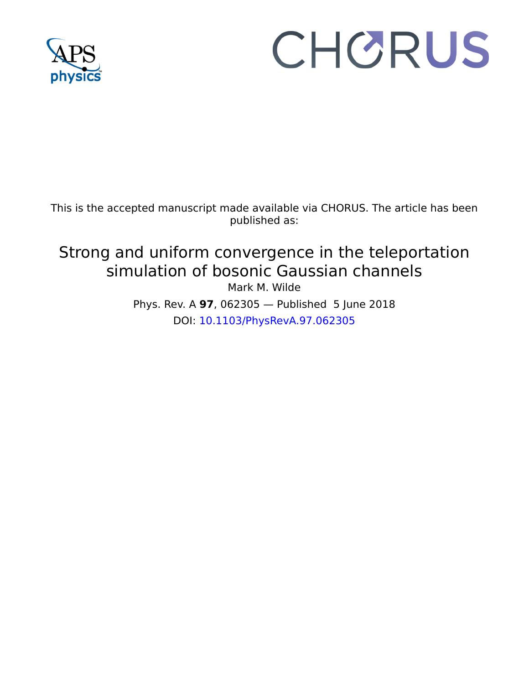

# CHORUS

This is the accepted manuscript made available via CHORUS. The article has been published as:

## Strong and uniform convergence in the teleportation simulation of bosonic Gaussian channels

Mark M. Wilde

Phys. Rev. A **97**, 062305 — Published 5 June 2018 DOI: [10.1103/PhysRevA.97.062305](http://dx.doi.org/10.1103/PhysRevA.97.062305)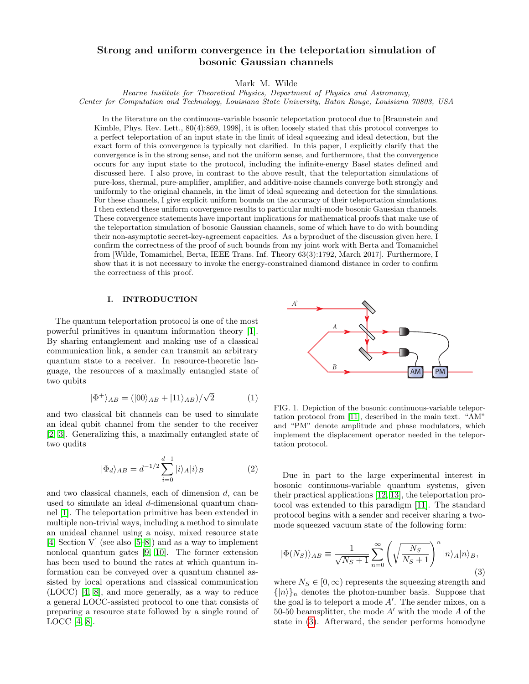#### Strong and uniform convergence in the teleportation simulation of bosonic Gaussian channels

Mark M. Wilde

Hearne Institute for Theoretical Physics, Department of Physics and Astronomy, Center for Computation and Technology, Louisiana State University, Baton Rouge, Louisiana 70803, USA

In the literature on the continuous-variable bosonic teleportation protocol due to [Braunstein and Kimble, Phys. Rev. Lett., 80(4):869, 1998], it is often loosely stated that this protocol converges to a perfect teleportation of an input state in the limit of ideal squeezing and ideal detection, but the exact form of this convergence is typically not clarified. In this paper, I explicitly clarify that the convergence is in the strong sense, and not the uniform sense, and furthermore, that the convergence occurs for any input state to the protocol, including the infinite-energy Basel states defined and discussed here. I also prove, in contrast to the above result, that the teleportation simulations of pure-loss, thermal, pure-amplifier, amplifier, and additive-noise channels converge both strongly and uniformly to the original channels, in the limit of ideal squeezing and detection for the simulations. For these channels, I give explicit uniform bounds on the accuracy of their teleportation simulations. I then extend these uniform convergence results to particular multi-mode bosonic Gaussian channels. These convergence statements have important implications for mathematical proofs that make use of the teleportation simulation of bosonic Gaussian channels, some of which have to do with bounding their non-asymptotic secret-key-agreement capacities. As a byproduct of the discussion given here, I confirm the correctness of the proof of such bounds from my joint work with Berta and Tomamichel from [Wilde, Tomamichel, Berta, IEEE Trans. Inf. Theory 63(3):1792, March 2017]. Furthermore, I show that it is not necessary to invoke the energy-constrained diamond distance in order to confirm the correctness of this proof.

#### I. INTRODUCTION

The quantum teleportation protocol is one of the most powerful primitives in quantum information theory [\[1\]](#page-18-0). By sharing entanglement and making use of a classical communication link, a sender can transmit an arbitrary quantum state to a receiver. In resource-theoretic language, the resources of a maximally entangled state of two qubits

$$
|\Phi^{+}\rangle_{AB} = (|00\rangle_{AB} + |11\rangle_{AB})/\sqrt{2}
$$
 (1)

and two classical bit channels can be used to simulate an ideal qubit channel from the sender to the receiver [\[2,](#page-18-1) [3\]](#page-18-2). Generalizing this, a maximally entangled state of two qudits

$$
|\Phi_d\rangle_{AB} = d^{-1/2} \sum_{i=0}^{d-1} |i\rangle_A |i\rangle_B \tag{2}
$$

and two classical channels, each of dimension d, can be used to simulate an ideal d-dimensional quantum channel [\[1\]](#page-18-0). The teleportation primitive has been extended in multiple non-trivial ways, including a method to simulate an unideal channel using a noisy, mixed resource state [\[4,](#page-18-3) Section V] (see also [\[5–](#page-18-4)[8\]](#page-18-5)) and as a way to implement nonlocal quantum gates [\[9,](#page-19-0) [10\]](#page-19-1). The former extension has been used to bound the rates at which quantum information can be conveyed over a quantum channel assisted by local operations and classical communication (LOCC) [\[4,](#page-18-3) [8\]](#page-18-5), and more generally, as a way to reduce a general LOCC-assisted protocol to one that consists of preparing a resource state followed by a single round of guage, the resources of a maximally entangled state of<br>
Woo qubits<br>  $|\Phi^+\rangle_{AB} = (|00\rangle_{AB} + |11\rangle_{AB})/\sqrt{2}$  (1)<br>
and two classical bit channels can be used to simulate<br>  $|\Phi^+\rangle_{AB} = (|00\rangle_{AB} + |11\rangle_{AB})/\sqrt{2}$  (1)<br>
EIG. 1. Depiction



FIG. 1. Depiction of the bosonic continuous-variable teleportation protocol from [\[11\]](#page-19-2), described in the main text. "AM" and "PM" denote amplitude and phase modulators, which implement the displacement operator needed in the teleportation protocol.

Due in part to the large experimental interest in bosonic continuous-variable quantum systems, given their practical applications [\[12,](#page-19-3) [13\]](#page-19-4), the teleportation protocol was extended to this paradigm [\[11\]](#page-19-2). The standard protocol begins with a sender and receiver sharing a twomode squeezed vacuum state of the following form:

<span id="page-2-0"></span>
$$
|\Phi(N_S)\rangle_{AB} \equiv \frac{1}{\sqrt{N_S+1}} \sum_{n=0}^{\infty} \left( \sqrt{\frac{N_S}{N_S+1}} \right)^n |n\rangle_A |n\rangle_B, \tag{3}
$$

where  $N_S \in [0, \infty)$  represents the squeezing strength and  $\{|n\rangle\}_n$  denotes the photon-number basis. Suppose that the goal is to teleport a mode  $A'$ . The sender mixes, on a 50-50 beamsplitter, the mode  $A'$  with the mode  $A$  of the state in [\(3\)](#page-2-0). Afterward, the sender performs homodyne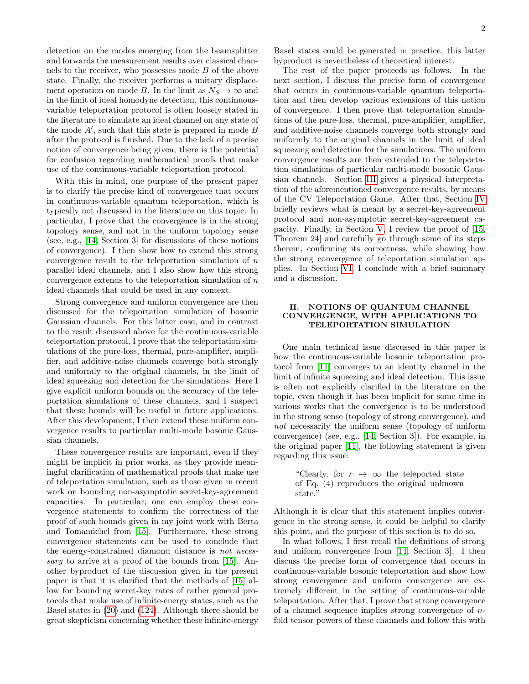detection on the modes emerging from the beamsplitter and forwards the measurement results over classical channels to the receiver, who possesses mode B of the above state. Finally, the receiver performs a unitary displacement operation on mode B. In the limit as  $N_S \to \infty$  and in the limit of ideal homodyne detection, this continuousvariable teleportation protocol is often loosely stated in the literature to simulate an ideal channel on any state of the mode  $A'$ , such that this state is prepared in mode  $B$ after the protocol is finished. Due to the lack of a precise notion of convergence being given, there is the potential for confusion regarding mathematical proofs that make use of the continuous-variable teleportation protocol.

With this in mind, one purpose of the present paper is to clarify the precise kind of convergence that occurs in continuous-variable quantum teleportation, which is typically not discussed in the literature on this topic. In particular, I prove that the convergence is in the strong topology sense, and not in the uniform topology sense (see, e.g., [\[14,](#page-19-5) Section 3] for discussions of these notions of convergence). I then show how to extend this strong convergence result to the teleportation simulation of  $n$ parallel ideal channels, and I also show how this strong convergence extends to the teleportation simulation of  $n$ ideal channels that could be used in any context.

Strong convergence and uniform convergence are then discussed for the teleportation simulation of bosonic Gaussian channels. For this latter case, and in contrast to the result discussed above for the continuous-variable teleportation protocol, I prove that the teleportation simulations of the pure-loss, thermal, pure-amplifier, amplifier, and additive-noise channels converge both strongly and uniformly to the original channels, in the limit of ideal squeezing and detection for the simulations. Here I give explicit uniform bounds on the accuracy of the teleportation simulations of these channels, and I suspect that these bounds will be useful in future applications. After this development, I then extend these uniform convergence results to particular multi-mode bosonic Gaussian channels.

These convergence results are important, even if they might be implicit in prior works, as they provide meaningful clarification of mathematical proofs that make use of teleportation simulation, such as those given in recent work on bounding non-asymptotic secret-key-agreement capacities. In particular, one can employ these convergence statements to confirm the correctness of the proof of such bounds given in my joint work with Berta and Tomamichel from [\[15\]](#page-19-6). Furthermore, these strong convergence statements can be used to conclude that the energy-constrained diamond distance is not neces-sary to arrive at a proof of the bounds from [\[15\]](#page-19-6). Another byproduct of the discussion given in the present paper is that it is clarified that the methods of [\[15\]](#page-19-6) allow for bounding secret-key rates of rather general protocols that make use of infinite-energy states, such as the Basel states in [\(20\)](#page-5-0) and [\(124\)](#page-16-0). Although there should be great skepticism concerning whether these infinite-energy

Basel states could be generated in practice, this latter byproduct is nevertheless of theoretical interest.

The rest of the paper proceeds as follows. In the next section, I discuss the precise form of convergence that occurs in continuous-variable quantum teleportation and then develop various extensions of this notion of convergence. I then prove that teleportation simulations of the pure-loss, thermal, pure-amplifier, amplifier, and additive-noise channels converge both strongly and uniformly to the original channels in the limit of ideal squeezing and detection for the simulations. The uniform convergence results are then extended to the teleportation simulations of particular multi-mode bosonic Gaussian channels. Section [III](#page-14-0) gives a physical interpretation of the aforementioned convergence results, by means of the CV Teleportation Game. After that, Section [IV](#page-16-1) briefly reviews what is meant by a secret-key-agreement protocol and non-asymptotic secret-key-agreement capacity. Finally, in Section [V,](#page-17-0) I review the proof of [\[15,](#page-19-6) Theorem 24] and carefully go through some of its steps therein, confirming its correctness, while showing how the strong convergence of teleportation simulation applies. In Section [VI,](#page-18-6) I conclude with a brief summary and a discussion.

#### II. NOTIONS OF QUANTUM CHANNEL CONVERGENCE, WITH APPLICATIONS TO TELEPORTATION SIMULATION

One main technical issue discussed in this paper is how the continuous-variable bosonic teleportation protocol from [\[11\]](#page-19-2) converges to an identity channel in the limit of infinite squeezing and ideal detection. This issue is often not explicitly clarified in the literature on the topic, even though it has been implicit for some time in various works that the convergence is to be understood in the strong sense (topology of strong convergence), and not necessarily the uniform sense (topology of uniform convergence) (see, e.g., [\[14,](#page-19-5) Section 3]). For example, in the original paper [\[11\]](#page-19-2), the following statement is given regarding this issue:

> "Clearly, for  $r \rightarrow \infty$  the teleported state of Eq. (4) reproduces the original unknown state."

Although it is clear that this statement implies convergence in the strong sense, it could be helpful to clarify this point, and the purpose of this section is to do so.

In what follows, I first recall the definitions of strong and uniform convergence from [\[14,](#page-19-5) Section 3]. I then discuss the precise form of convergence that occurs in continuous-variable bosonic teleportation and show how strong convergence and uniform convergence are extremely different in the setting of continuous-variable teleportation. After that, I prove that strong convergence of a channel sequence implies strong convergence of  $n$ fold tensor powers of these channels and follow this with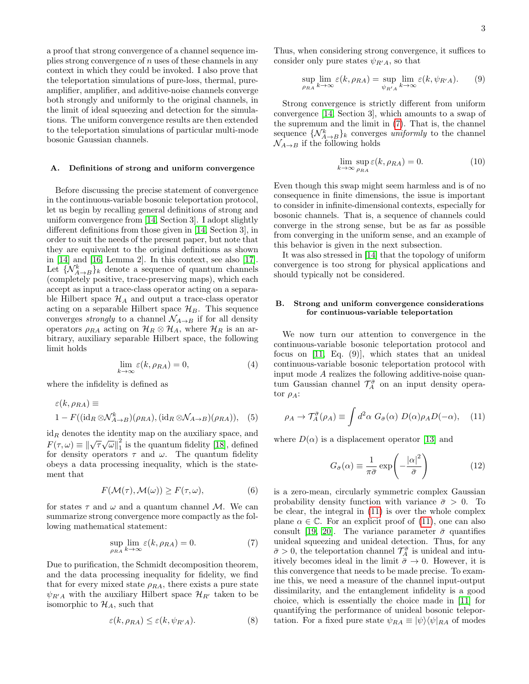a proof that strong convergence of a channel sequence implies strong convergence of  $n$  uses of these channels in any context in which they could be invoked. I also prove that the teleportation simulations of pure-loss, thermal, pureamplifier, amplifier, and additive-noise channels converge both strongly and uniformly to the original channels, in the limit of ideal squeezing and detection for the simulations. The uniform convergence results are then extended to the teleportation simulations of particular multi-mode bosonic Gaussian channels.

#### A. Definitions of strong and uniform convergence

Before discussing the precise statement of convergence in the continuous-variable bosonic teleportation protocol, let us begin by recalling general definitions of strong and uniform convergence from [\[14,](#page-19-5) Section 3]. I adopt slightly different definitions from those given in [\[14,](#page-19-5) Section 3], in order to suit the needs of the present paper, but note that they are equivalent to the original definitions as shown in [\[14\]](#page-19-5) and [\[16,](#page-19-7) Lemma 2]. In this context, see also [\[17\]](#page-19-8). Let  $\{N_{A\rightarrow B}^k\}$  denote a sequence of quantum channels (completely positive, trace-preserving maps), which each accept as input a trace-class operator acting on a separable Hilbert space  $\mathcal{H}_A$  and output a trace-class operator acting on a separable Hilbert space  $\mathcal{H}_B$ . This sequence converges *strongly* to a channel  $\mathcal{N}_{A\rightarrow B}$  if for all density operators  $\rho_{RA}$  acting on  $\mathcal{H}_R \otimes \mathcal{H}_A$ , where  $\mathcal{H}_R$  is an arbitrary, auxiliary separable Hilbert space, the following limit holds

$$
\lim_{k \to \infty} \varepsilon(k, \rho_{RA}) = 0,\tag{4}
$$

where the infidelity is defined as

$$
\varepsilon(k, \rho_{RA}) \equiv
$$
  
1 - F((id<sub>R</sub> \otimes \mathcal{N}\_{A \to B}^{k})(\rho\_{RA}), (id<sub>R</sub> \otimes \mathcal{N}\_{A \to B})(\rho\_{RA})), (5)

 $id_R$  denotes the identity map on the auxiliary space, and  $F(\tau,\omega) \equiv ||\sqrt{\tau}\sqrt{\omega}||_1^2$  $\frac{2}{1}$  is the quantum fidelity [\[18\]](#page-19-9), defined for density operators  $\tau$  and  $\omega$ . The quantum fidelity obeys a data processing inequality, which is the statement that

$$
F(\mathcal{M}(\tau), \mathcal{M}(\omega)) \ge F(\tau, \omega), \tag{6}
$$

for states  $\tau$  and  $\omega$  and a quantum channel M. We can summarize strong convergence more compactly as the following mathematical statement:

<span id="page-4-0"></span>
$$
\sup_{\rho_{RA}} \lim_{k \to \infty} \varepsilon(k, \rho_{RA}) = 0.
$$
 (7)

Due to purification, the Schmidt decomposition theorem, and the data processing inequality for fidelity, we find that for every mixed state  $\rho_{RA}$ , there exists a pure state  $\psi_{R'A}$  with the auxiliary Hilbert space  $\mathcal{H}_{R'}$  taken to be isomorphic to  $\mathcal{H}_A$ , such that

$$
\varepsilon(k, \rho_{RA}) \le \varepsilon(k, \psi_{R'A}). \tag{8}
$$

Thus, when considering strong convergence, it suffices to consider only pure states  $\psi_{R/A}$ , so that

<span id="page-4-2"></span>
$$
\sup_{\rho_{RA}} \lim_{k \to \infty} \varepsilon(k, \rho_{RA}) = \sup_{\psi_{R'A}} \lim_{k \to \infty} \varepsilon(k, \psi_{R'A}).
$$
 (9)

Strong convergence is strictly different from uniform convergence [\[14,](#page-19-5) Section 3], which amounts to a swap of the supremum and the limit in [\(7\)](#page-4-0). That is, the channel sequence  $\{ \mathcal{N}_{A\rightarrow B}^k \}_k$  converges uniformly to the channel  $\mathcal{N}_{A\rightarrow B}$  if the following holds

$$
\lim_{k \to \infty} \sup_{\rho_{RA}} \varepsilon(k, \rho_{RA}) = 0.
$$
\n(10)

Even though this swap might seem harmless and is of no consequence in finite dimensions, the issue is important to consider in infinite-dimensional contexts, especially for bosonic channels. That is, a sequence of channels could converge in the strong sense, but be as far as possible from converging in the uniform sense, and an example of this behavior is given in the next subsection.

It was also stressed in [\[14\]](#page-19-5) that the topology of uniform convergence is too strong for physical applications and should typically not be considered.

#### B. Strong and uniform convergence considerations for continuous-variable teleportation

We now turn our attention to convergence in the continuous-variable bosonic teleportation protocol and focus on [\[11,](#page-19-2) Eq. (9)], which states that an unideal continuous-variable bosonic teleportation protocol with input mode  ${\cal A}$  realizes the following additive-noise quantum Gaussian channel  $\mathcal{T}_A^{\bar{\sigma}}$  on an input density operator  $\rho_A$ :

<span id="page-4-1"></span>
$$
\rho_A \to \mathcal{T}_A^{\bar{\sigma}}(\rho_A) \equiv \int d^2\alpha \ G_{\bar{\sigma}}(\alpha) \ D(\alpha)\rho_A D(-\alpha), \quad (11)
$$

where  $D(\alpha)$  is a displacement operator [\[13\]](#page-19-4) and

<span id="page-4-3"></span>
$$
G_{\bar{\sigma}}(\alpha) \equiv \frac{1}{\pi \bar{\sigma}} \exp\left(-\frac{|\alpha|^2}{\bar{\sigma}}\right) \tag{12}
$$

is a zero-mean, circularly symmetric complex Gaussian probability density function with variance  $\bar{\sigma} > 0$ . To be clear, the integral in [\(11\)](#page-4-1) is over the whole complex plane  $\alpha \in \mathbb{C}$ . For an explicit proof of [\(11\)](#page-4-1), one can also consult [\[19,](#page-19-10) [20\]](#page-19-11). The variance parameter  $\bar{\sigma}$  quantifies unideal squeezing and unideal detection. Thus, for any  $\bar{\sigma} > 0$ , the teleportation channel  $\mathcal{T}_A^{\bar{\sigma}}$  is unideal and intuitively becomes ideal in the limit  $\bar{\sigma} \to 0$ . However, it is this convergence that needs to be made precise. To examine this, we need a measure of the channel input-output dissimilarity, and the entanglement infidelity is a good choice, which is essentially the choice made in [\[11\]](#page-19-2) for quantifying the performance of unideal bosonic teleportation. For a fixed pure state  $\psi_{RA} \equiv |\psi\rangle \langle \psi|_{RA}$  of modes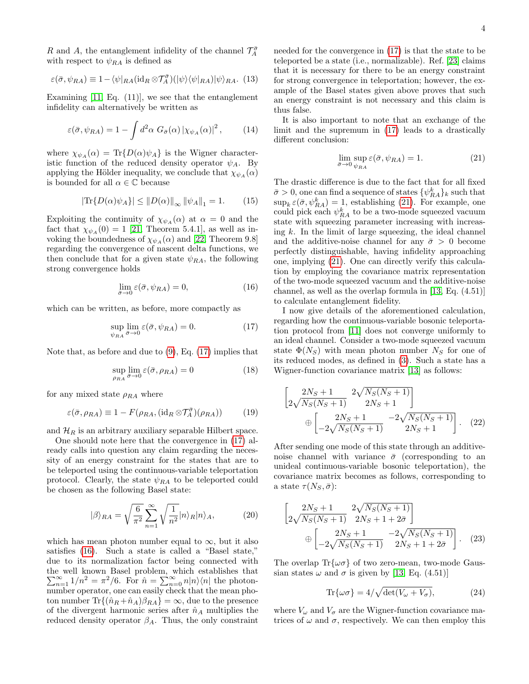R and A, the entanglement infidelity of the channel  $\mathcal{T}_A^{\bar{\sigma}}$ with respect to  $\psi_{RA}$  is defined as

<span id="page-5-4"></span>
$$
\varepsilon(\bar{\sigma}, \psi_{RA}) \equiv 1 - \langle \psi |_{RA} (\mathrm{id}_R \otimes \mathcal{T}_A^{\bar{\sigma}}) (|\psi\rangle \langle \psi |_{RA}) |\psi\rangle_{RA}.
$$
 (13)

Examining  $[11, Eq. (11)]$  $[11, Eq. (11)]$ , we see that the entanglement infidelity can alternatively be written as

$$
\varepsilon(\bar{\sigma}, \psi_{RA}) = 1 - \int d^2\alpha \ G_{\bar{\sigma}}(\alpha) \left| \chi_{\psi_A}(\alpha) \right|^2, \tag{14}
$$

where  $\chi_{\psi_A}(\alpha) = \text{Tr}\{D(\alpha)\psi_A\}$  is the Wigner characteristic function of the reduced density operator  $\psi_A$ . By applying the Hölder inequality, we conclude that  $\chi_{\psi_A}(\alpha)$ is bounded for all  $\alpha \in \mathbb{C}$  because

$$
|\text{Tr}\{D(\alpha)\psi_A\}| \le ||D(\alpha)||_{\infty} ||\psi_A||_1 = 1.
$$
 (15)

Exploiting the continuity of  $\chi_{\psi_A}(\alpha)$  at  $\alpha = 0$  and the fact that  $\chi_{\psi_{A}}(0) = 1$  [\[21,](#page-19-12) Theorem 5.4.1], as well as invoking the boundedness of  $\chi_{\psi_A}(\alpha)$  and [\[22,](#page-19-13) Theorem 9.8] regarding the convergence of nascent delta functions, we then conclude that for a given state  $\psi_{RA}$ , the following strong convergence holds

<span id="page-5-2"></span>
$$
\lim_{\bar{\sigma}\to 0} \varepsilon(\bar{\sigma}, \psi_{RA}) = 0,\tag{16}
$$

which can be written, as before, more compactly as

<span id="page-5-1"></span>
$$
\sup_{\psi_{RA}} \lim_{\bar{\sigma} \to 0} \varepsilon(\bar{\sigma}, \psi_{RA}) = 0.
$$
 (17)

Note that, as before and due to [\(9\)](#page-4-2), Eq. [\(17\)](#page-5-1) implies that

$$
\sup_{\rho_{RA}} \lim_{\bar{\sigma} \to 0} \varepsilon(\bar{\sigma}, \rho_{RA}) = 0 \tag{18}
$$

for any mixed state  $\rho_{RA}$  where

$$
\varepsilon(\bar{\sigma}, \rho_{RA}) \equiv 1 - F(\rho_{RA}, (\mathrm{id}_R \otimes \mathcal{T}_A^{\bar{\sigma}})(\rho_{RA})) \tag{19}
$$

and  $\mathcal{H}_R$  is an arbitrary auxiliary separable Hilbert space.

One should note here that the convergence in [\(17\)](#page-5-1) already calls into question any claim regarding the necessity of an energy constraint for the states that are to be teleported using the continuous-variable teleportation protocol. Clearly, the state  $\psi_{RA}$  to be teleported could be chosen as the following Basel state:

<span id="page-5-0"></span>
$$
|\beta\rangle_{RA} = \sqrt{\frac{6}{\pi^2}} \sum_{n=1}^{\infty} \sqrt{\frac{1}{n^2}} |n\rangle_R |n\rangle_A, \tag{20}
$$

which has mean photon number equal to  $\infty$ , but it also satisfies [\(16\)](#page-5-2). Such a state is called a "Basel state," due to its normalization factor being connected with the well known Basel problem, which establishes that  $\sum_{n=1}^{\infty} 1/n^2 = \pi^2/6$ . For  $\hat{n} = \sum_{n=0}^{\infty} n|n\rangle\langle n|$  the photonnumber operator, one can easily check that the mean photon number  $\text{Tr}\{(\hat{n}_R + \hat{n}_A)\beta_{RA}\} = \infty$ , due to the presence of the divergent harmonic series after  $\hat{n}_A$  multiplies the reduced density operator  $\beta_A$ . Thus, the only constraint needed for the convergence in [\(17\)](#page-5-1) is that the state to be teleported be a state (i.e., normalizable). Ref. [\[23\]](#page-19-14) claims that it is necessary for there to be an energy constraint for strong convergence in teleportation; however, the example of the Basel states given above proves that such an energy constraint is not necessary and this claim is thus false.

It is also important to note that an exchange of the limit and the supremum in [\(17\)](#page-5-1) leads to a drastically different conclusion:

<span id="page-5-3"></span>
$$
\lim_{\bar{\sigma}\to 0} \sup_{\psi_{RA}} \varepsilon(\bar{\sigma}, \psi_{RA}) = 1.
$$
\n(21)

The drastic difference is due to the fact that for all fixed  $\bar{\sigma} > 0$ , one can find a sequence of states  $\{\psi_{RA}^k\}_k$  such that  $\sup_k \varepsilon(\bar{\sigma}, \psi_{RA}^k) = 1$ , establishing [\(21\)](#page-5-3). For example, one could pick each  $\psi_{RA}^k$  to be a two-mode squeezed vacuum state with squeezing parameter increasing with increasing  $k$ . In the limit of large squeezing, the ideal channel and the additive-noise channel for any  $\bar{\sigma} > 0$  become perfectly distinguishable, having infidelity approaching one, implying [\(21\)](#page-5-3). One can directly verify this calculation by employing the covariance matrix representation of the two-mode squeezed vacuum and the additive-noise channel, as well as the overlap formula in [\[13,](#page-19-4) Eq. (4.51)] to calculate entanglement fidelity.

I now give details of the aforementioned calculation, regarding how the continuous-variable bosonic teleportation protocol from [\[11\]](#page-19-2) does not converge uniformly to an ideal channel. Consider a two-mode squeezed vacuum state  $\Phi(N_S)$  with mean photon number  $N_S$  for one of its reduced modes, as defined in [\(3\)](#page-2-0). Such a state has a Wigner-function covariance matrix [\[13\]](#page-19-4) as follows:

$$
\left[2\sqrt{N_S(N_S+1)}\frac{2\sqrt{N_S(N_S+1)}}{2N_S+1}\right] + \left[2\sqrt{N_S(N_S+1)}\frac{2N_S+1}{2N_S(N_S+1)}\right] - 2\sqrt{N_S(N_S+1)}\right].
$$
 (22)

After sending one mode of this state through an additivenoise channel with variance  $\bar{\sigma}$  (corresponding to an unideal continuous-variable bosonic teleportation), the covariance matrix becomes as follows, corresponding to a state  $\tau(N_S, \bar{\sigma})$ :

$$
\left[2\sqrt{N_S(N_S+1)}\right] \frac{2\sqrt{N_S(N_S+1)}}{2N_S+1+2\bar{\sigma}} + \left[\frac{2N_S+1}{-2\sqrt{N_S(N_S+1)}}\right] \frac{2\sqrt{N_S(N_S+1)}}{2N_S+1+2\bar{\sigma}}\right].
$$
 (23)

The overlap  $\text{Tr}\{\omega\sigma\}$  of two zero-mean, two-mode Gaussian states  $\omega$  and  $\sigma$  is given by [\[13,](#page-19-4) Eq. (4.51)]

$$
\text{Tr}\{\omega\sigma\} = 4/\sqrt{\det(V_{\omega} + V_{\sigma})},\tag{24}
$$

where  $V_{\omega}$  and  $V_{\sigma}$  are the Wigner-function covariance matrices of  $\omega$  and  $\sigma$ , respectively. We can then employ this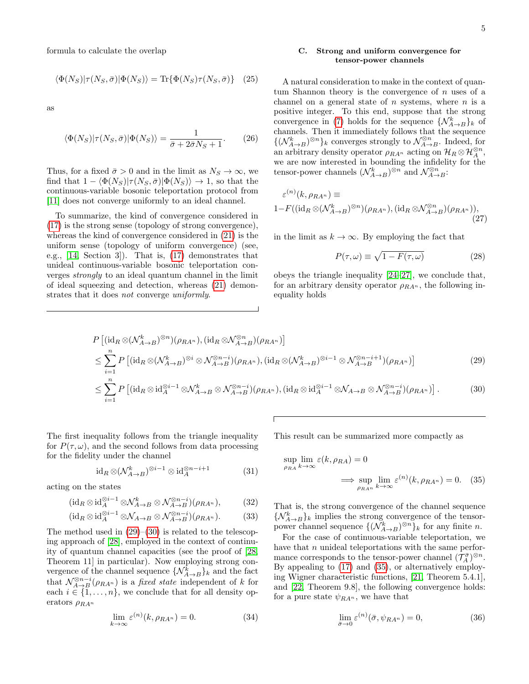formula to calculate the overlap

$$
\langle \Phi(N_S) | \tau(N_S, \bar{\sigma}) | \Phi(N_S) \rangle = \text{Tr} \{ \Phi(N_S) \tau(N_S, \bar{\sigma}) \} \quad (25)
$$

as

$$
\langle \Phi(N_S) | \tau(N_S, \bar{\sigma}) | \Phi(N_S) \rangle = \frac{1}{\bar{\sigma} + 2\bar{\sigma}N_S + 1}.
$$
 (26)

Thus, for a fixed  $\bar{\sigma} > 0$  and in the limit as  $N_S \to \infty$ , we find that  $1 - \langle \Phi(N_S)|\tau(N_S, \bar{\sigma})|\Phi(N_S)\rangle \rightarrow 1$ , so that the continuous-variable bosonic teleportation protocol from [\[11\]](#page-19-2) does not converge uniformly to an ideal channel.

To summarize, the kind of convergence considered in [\(17\)](#page-5-1) is the strong sense (topology of strong convergence), whereas the kind of convergence considered in [\(21\)](#page-5-3) is the uniform sense (topology of uniform convergence) (see, e.g., [\[14,](#page-19-5) Section 3]). That is, [\(17\)](#page-5-1) demonstrates that unideal continuous-variable bosonic teleportation converges strongly to an ideal quantum channel in the limit of ideal squeezing and detection, whereas [\(21\)](#page-5-3) demonstrates that it does not converge uniformly.

#### C. Strong and uniform convergence for tensor-power channels

A natural consideration to make in the context of quantum Shannon theory is the convergence of  $n$  uses of a channel on a general state of  $n$  systems, where  $n$  is a positive integer. To this end, suppose that the strong convergence in [\(7\)](#page-4-0) holds for the sequence  $\{N_{A\to B}^k\}_k$  of channels. Then it immediately follows that the sequence  $\{(\mathcal{N}_{A\rightarrow B}^{k})^{\otimes n}\}_{k}$  converges strongly to  $\mathcal{N}_{A\rightarrow B}^{\otimes n}.$  Indeed, for an arbitrary density operator  $\rho_{RA^n}$  acting on  $\mathcal{H}_R \otimes \mathcal{H}_A^{\otimes n}$ , we are now interested in bounding the infidelity for the tensor-power channels  $(\mathcal{N}_{A\to B}^k)^{\otimes n}$  and  $\mathcal{N}_{A\to B}^{\otimes n}$ :

$$
\varepsilon^{(n)}(k, \rho_{RA^n}) \equiv
$$
  
1-F((id<sub>R</sub> ⊗( $N_{A\to B}^k$ )<sup>®n</sup>)( $\rho_{RA^n}$ ), (id<sub>R</sub> ⊗ $N_{A\to B}^{\otimes n}$ )( $\rho_{RA^n}$ )), (27)

in the limit as  $k \to \infty$ . By employing the fact that

<span id="page-6-1"></span><span id="page-6-0"></span>
$$
P(\tau, \omega) \equiv \sqrt{1 - F(\tau, \omega)}\tag{28}
$$

obeys the triangle inequality [\[24–](#page-19-15)[27\]](#page-19-16), we conclude that, for an arbitrary density operator  $\rho_{RA}$ , the following inequality holds

$$
P\left[\left(\mathrm{id}_{R}\otimes(\mathcal{N}_{A\to B}^{k})^{\otimes n}\right)(\rho_{RA^{n}}),\left(\mathrm{id}_{R}\otimes\mathcal{N}_{A\to B}^{\otimes n}\right)(\rho_{RA^{n}})\right] \leq \sum_{i=1}^{n} P\left[\left(\mathrm{id}_{R}\otimes(\mathcal{N}_{A\to B}^{k})^{\otimes i}\otimes\mathcal{N}_{A\to B}^{\otimes n-i}\right)(\rho_{RA^{n}}),\left(\mathrm{id}_{R}\otimes(\mathcal{N}_{A\to B}^{k})^{\otimes i-1}\otimes\mathcal{N}_{A\to B}^{\otimes n-i+1}\right)(\rho_{RA^{n}})\right] \leq \sum_{i=1}^{n} P\left[\left(\mathrm{id}_{R}\otimes\mathrm{id}_{A}^{\otimes i-1}\otimes\mathcal{N}_{A\to B}^{\otimes n-i}\otimes\mathcal{N}_{A\to B}^{\otimes n-i}\right)(\rho_{RA^{n}}),\left(\mathrm{id}_{R}\otimes\mathrm{id}_{A}^{\otimes i-1}\otimes\mathcal{N}_{A\to B}\otimes\mathcal{N}_{A\to B}^{\otimes n-i}\right)(\rho_{RA^{n}})\right].
$$
\n(30)

The first inequality follows from the triangle inequality for  $P(\tau,\omega)$ , and the second follows from data processing for the fidelity under the channel

$$
\mathrm{id}_R \otimes (\mathcal{N}_{A \to B}^k)^{\otimes i-1} \otimes \mathrm{id}_A^{\otimes n-i+1} \tag{31}
$$

acting on the states

$$
(\mathrm{id}_R \otimes \mathrm{id}_A^{\otimes i-1} \otimes \mathcal{N}_{A\to B}^k \otimes \mathcal{N}_{A\to B}^{\otimes n-i})(\rho_{RA^n}),\tag{32}
$$

$$
(\mathrm{id}_R \otimes \mathrm{id}_A^{\otimes i-1} \otimes \mathcal{N}_{A \to B} \otimes \mathcal{N}_{A \to B}^{\otimes n-i})(\rho_{RA^n}). \tag{33}
$$

The method used in  $(29)$ – $(30)$  is related to the telescoping approach of [\[28\]](#page-19-17), employed in the context of continuity of quantum channel capacities (see the proof of [\[28,](#page-19-17) Theorem 11] in particular). Now employing strong convergence of the channel sequence  $\{ \mathcal{N}_{A\rightarrow B}^k \}$  and the fact that  $\mathcal{N}_{A\rightarrow B}^{\otimes n-i}(\rho_{RA^n})$  is a *fixed state* independent of k for each  $i \in \{1, \ldots, n\}$ , we conclude that for all density operators  $\rho_{RA^n}$ 

$$
\lim_{k \to \infty} \varepsilon^{(n)}(k, \rho_{RA^n}) = 0.
$$
\n(34)

This result can be summarized more compactly as

<span id="page-6-2"></span>
$$
\sup_{\rho_{RA}} \lim_{k \to \infty} \varepsilon(k, \rho_{RA}) = 0
$$
  

$$
\implies \sup_{\rho_{RA^n}} \lim_{k \to \infty} \varepsilon^{(n)}(k, \rho_{RA^n}) = 0. \quad (35)
$$

That is, the strong convergence of the channel sequence  $\{\mathcal{N}_{A\to B}^k\}_k$  implies the strong convergence of the tensorpower channel sequence  $\{(\mathcal{N}_{A\to B}^k)^{\otimes n}\}_k$  for any finite *n*.

For the case of continuous-variable teleportation, we have that  $n$  unideal teleportations with the same performance corresponds to the tensor-power channel  $(\mathcal{T}_A^{\bar{\sigma}})^{\otimes n}$ . By appealing to [\(17\)](#page-5-1) and [\(35\)](#page-6-2), or alternatively employing Wigner characteristic functions, [\[21,](#page-19-12) Theorem 5.4.1], and [\[22,](#page-19-13) Theorem 9.8], the following convergence holds: for a pure state  $\psi_{RA^n}$ , we have that

<span id="page-6-3"></span>
$$
\lim_{\bar{\sigma}\to 0} \varepsilon^{(n)}(\bar{\sigma}, \psi_{RA^n}) = 0,\tag{36}
$$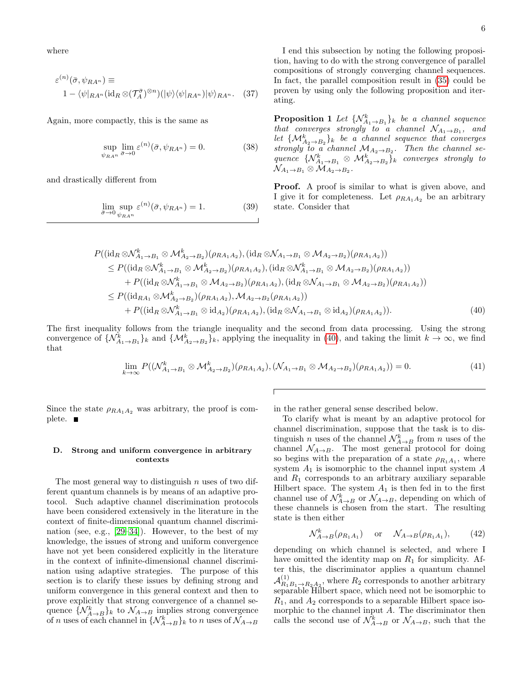where

$$
\varepsilon^{(n)}(\bar{\sigma}, \psi_{RA^n}) \equiv 1 - \langle \psi|_{RA^n} (\mathrm{id}_R \otimes (\mathcal{T}_A^{\bar{\sigma}})^{\otimes n}) (|\psi\rangle \langle \psi|_{RA^n}) |\psi\rangle_{RA^n}.
$$
 (37)

Again, more compactly, this is the same as

$$
\sup_{\psi_{RA^n}} \lim_{\bar{\sigma} \to 0} \varepsilon^{(n)}(\bar{\sigma}, \psi_{RA^n}) = 0.
$$
 (38)

and drastically different from

$$
\lim_{\bar{\sigma}\to 0} \sup_{\psi_{RA^n}} \varepsilon^{(n)}(\bar{\sigma}, \psi_{RA^n}) = 1.
$$
 (39)

I end this subsection by noting the following proposition, having to do with the strong convergence of parallel compositions of strongly converging channel sequences. In fact, the parallel composition result in [\(35\)](#page-6-2) could be proven by using only the following proposition and iterating.

<span id="page-7-2"></span>**Proposition 1** Let  $\{N_{A_1\to B_1}^k\}_k$  be a channel sequence that converges strongly to a channel  $\mathcal{N}_{A_1\to B_1}$ , and let  $\{M_{A_2\to B_2}^k\}_k$  be a channel sequence that converges strongly to a channel  $M_{A_2 \to B_2}$ . Then the channel sequence  $\{ \mathcal{N}_{A_1 \to B_1}^k \otimes \mathcal{M}_{A_2 \to B_2}^k \}_k$  converges strongly to  $\mathcal{N}_{A_1\rightarrow B_1}\otimes \mathcal{M}_{A_2\rightarrow B_2}.$ 

**Proof.** A proof is similar to what is given above, and I give it for completeness. Let  $\rho_{RA_1A_2}$  be an arbitrary state. Consider that

$$
P((\mathrm{id}_{R} \otimes \mathcal{N}_{A_{1}\to B_{1}}^{k} \otimes \mathcal{M}_{A_{2}\to B_{2}}^{k})(\rho_{RA_{1}A_{2}}), (\mathrm{id}_{R} \otimes \mathcal{N}_{A_{1}\to B_{1}} \otimes \mathcal{M}_{A_{2}\to B_{2}})(\rho_{RA_{1}A_{2}}))
$$
\n
$$
\leq P((\mathrm{id}_{R} \otimes \mathcal{N}_{A_{1}\to B_{1}}^{k} \otimes \mathcal{M}_{A_{2}\to B_{2}}^{k})(\rho_{RA_{1}A_{2}}), (\mathrm{id}_{R} \otimes \mathcal{N}_{A_{1}\to B_{1}}^{k} \otimes \mathcal{M}_{A_{2}\to B_{2}})(\rho_{RA_{1}A_{2}}))
$$
\n
$$
+ P((\mathrm{id}_{R} \otimes \mathcal{N}_{A_{1}\to B_{1}}^{k} \otimes \mathcal{M}_{A_{2}\to B_{2}})(\rho_{RA_{1}A_{2}}), (\mathrm{id}_{R} \otimes \mathcal{N}_{A_{1}\to B_{1}} \otimes \mathcal{M}_{A_{2}\to B_{2}})(\rho_{RA_{1}A_{2}}))
$$
\n
$$
\leq P((\mathrm{id}_{RA_{1}} \otimes \mathcal{M}_{A_{2}\to B_{2}}^{k})(\rho_{RA_{1}A_{2}}), \mathcal{M}_{A_{2}\to B_{2}}(\rho_{RA_{1}A_{2}}))
$$
\n
$$
+ P((\mathrm{id}_{R} \otimes \mathcal{N}_{A_{1}\to B_{1}}^{k} \otimes \mathrm{id}_{A_{2}})(\rho_{RA_{1}A_{2}}), (\mathrm{id}_{R} \otimes \mathcal{N}_{A_{1}\to B_{1}} \otimes \mathrm{id}_{A_{2}})(\rho_{RA_{1}A_{2}})). \tag{40}
$$

The first inequality follows from the triangle inequality and the second from data processing. Using the strong convergence of  $\{\mathcal{N}_{A_1\to B_1}^k\}_k$  and  $\{\mathcal{M}_{A_2\to B_2}^k\}_k$ , applying the inequality in [\(40\)](#page-7-0), and taking the limit  $k\to\infty$ , we find that

$$
\lim_{k \to \infty} P((\mathcal{N}_{A_1 \to B_1}^k \otimes \mathcal{M}_{A_2 \to B_2}^k)(\rho_{RA_1A_2}), (\mathcal{N}_{A_1 \to B_1} \otimes \mathcal{M}_{A_2 \to B_2})(\rho_{RA_1A_2})) = 0.
$$
\n(41)

Since the state  $\rho_{RA_1A_2}$  was arbitrary, the proof is complete. ■

#### <span id="page-7-1"></span>D. Strong and uniform convergence in arbitrary contexts

The most general way to distinguish  $n$  uses of two different quantum channels is by means of an adaptive protocol. Such adaptive channel discrimination protocols have been considered extensively in the literature in the context of finite-dimensional quantum channel discrimination (see, e.g., [\[29–](#page-19-18)[34\]](#page-19-19)). However, to the best of my knowledge, the issues of strong and uniform convergence have not yet been considered explicitly in the literature in the context of infinite-dimensional channel discrimination using adaptive strategies. The purpose of this section is to clarify these issues by defining strong and uniform convergence in this general context and then to prove explicitly that strong convergence of a channel sequence  $\{ \mathcal{N}_{A\rightarrow B}^k \}$  to  $\mathcal{N}_{A\rightarrow B}$  implies strong convergence of *n* uses of each channel in  $\{N_{A\to B}^k\}_k$  to *n* uses of  $\mathcal{N}_{A\to B}$ 

<span id="page-7-0"></span>in the rather general sense described below.

To clarify what is meant by an adaptive protocol for channel discrimination, suppose that the task is to distinguish *n* uses of the channel  $\mathcal{N}_{A\to B}^k$  from *n* uses of the channel  $\mathcal{N}_{A\rightarrow B}$ . The most general protocol for doing so begins with the preparation of a state  $\rho_{R_1A_1}$ , where system  $A_1$  is isomorphic to the channel input system  $A$ and  $R_1$  corresponds to an arbitrary auxiliary separable Hilbert space. The system  $A_1$  is then fed in to the first channel use of  $\mathcal{N}_{A\rightarrow B}^k$  or  $\mathcal{N}_{A\rightarrow B}$ , depending on which of these channels is chosen from the start. The resulting state is then either

$$
\mathcal{N}_{A \to B}^k(\rho_{R_1 A_1}) \quad \text{or} \quad \mathcal{N}_{A \to B}(\rho_{R_1 A_1}), \tag{42}
$$

depending on which channel is selected, and where I have omitted the identity map on  $R_1$  for simplicity. After this, the discriminator applies a quantum channel  $\mathcal{A}_{R_1}^{(1)}$  $R_1(B_1 \rightarrow R_2 A_2)$ , where  $R_2$  corresponds to another arbitrary separable Hilbert space, which need not be isomorphic to  $R_1$ , and  $A_2$  corresponds to a separable Hilbert space isomorphic to the channel input A. The discriminator then calls the second use of  $\mathcal{N}_{A\to B}^k$  or  $\mathcal{N}_{A\to B}$ , such that the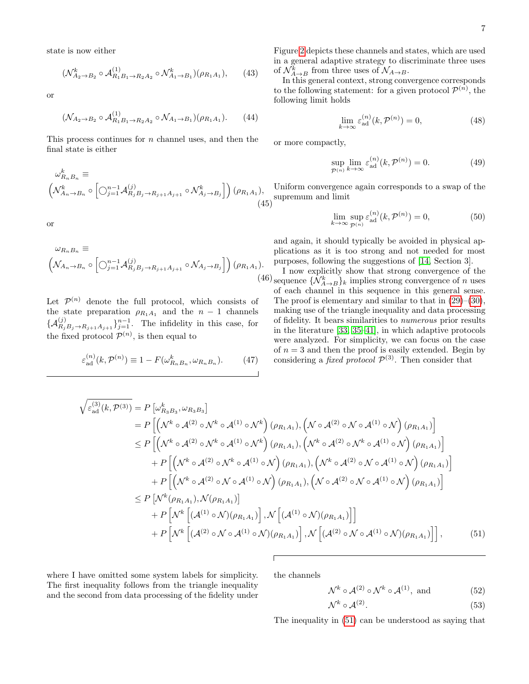state is now either

$$
(\mathcal{N}_{A_2 \to B_2}^k \circ \mathcal{A}_{R_1 B_1 \to R_2 A_2}^{(1)} \circ \mathcal{N}_{A_1 \to B_1}^k)(\rho_{R_1 A_1}), \qquad (43)
$$

or

$$
(\mathcal{N}_{A_2 \to B_2} \circ \mathcal{A}_{R_1 B_1 \to R_2 A_2}^{(1)} \circ \mathcal{N}_{A_1 \to B_1})(\rho_{R_1 A_1}). \tag{44}
$$

This process continues for  $n$  channel uses, and then the final state is either

$$
\omega_{R_n B_n}^k \equiv \left( \mathcal{N}_{A_n \to B_n}^k \circ \left[ \bigcirc_{j=1}^{n-1} \mathcal{A}_{R_j B_j \to R_{j+1} A_{j+1}}^{(j)} \circ \mathcal{N}_{A_j \to B_j}^k \right] \right) (\rho_{R_1 A_1}), \tag{45}
$$

or

$$
\omega_{R_n B_n} \equiv \left( \mathcal{N}_{A_n \to B_n} \circ \left[ \bigcirc_{j=1}^{n-1} \mathcal{A}_{R_j B_j \to R_{j+1} A_{j+1}}^{(j)} \circ \mathcal{N}_{A_j \to B_j} \right] \right) (\rho_{R_1 A_1}).
$$
\n(40)

Let  $\mathcal{P}^{(n)}$  denote the full protocol, which consists of the state preparation  $\rho_{R_1A_1}$  and the  $n-1$  channels  $\{\mathcal{A}_{R_jB_j\to R_{j+1}A_{j+1}}^{(j)}\}_{j=1}^{n-1}$ . The infidelity in this case, for the fixed protocol  $\mathcal{P}^{(n)}$ , is then equal to

<span id="page-8-3"></span>
$$
\varepsilon_{\text{ad}}^{(n)}(k, \mathcal{P}^{(n)}) \equiv 1 - F(\omega_{R_n B_n}^k, \omega_{R_n B_n}).\tag{47}
$$

Figure [2](#page-9-0) depicts these channels and states, which are used in a general adaptive strategy to discriminate three uses of  $\mathcal{N}_{A\rightarrow B}^k$  from three uses of  $\mathcal{N}_{A\rightarrow B}$ .

In this general context, strong convergence corresponds to the following statement: for a given protocol  $\mathcal{P}^{(n)}$ , the following limit holds

$$
\lim_{k \to \infty} \varepsilon_{\text{ad}}^{(n)}(k, \mathcal{P}^{(n)}) = 0,\tag{48}
$$

or more compactly,

$$
\sup_{\mathcal{P}^{(n)}} \lim_{k \to \infty} \varepsilon_{\text{ad}}^{(n)}(k, \mathcal{P}^{(n)}) = 0.
$$
 (49)

<span id="page-8-1"></span>Uniform convergence again corresponds to a swap of the supremum and limit

$$
\lim_{k \to \infty} \sup_{\mathcal{P}^{(n)}} \varepsilon_{\text{ad}}^{(n)}(k, \mathcal{P}^{(n)}) = 0,\tag{50}
$$

and again, it should typically be avoided in physical applications as it is too strong and not needed for most purposes, following the suggestions of [\[14,](#page-19-5) Section 3].

<span id="page-8-2"></span>(46) sequence  $\{ \mathcal{N}_{A\rightarrow B}^k \}$  implies strong convergence of *n* uses I now explicitly show that strong convergence of the of each channel in this sequence in this general sense. The proof is elementary and similar to that in  $(29)–(30)$  $(29)–(30)$  $(29)–(30)$ , making use of the triangle inequality and data processing of fidelity. It bears similarities to numerous prior results in the literature [\[33,](#page-19-20) [35](#page-19-21)[–41\]](#page-19-22), in which adaptive protocols were analyzed. For simplicity, we can focus on the case of  $n = 3$  and then the proof is easily extended. Begin by considering a *fixed protocol*  $\mathcal{P}^{(3)}$ . Then consider that

$$
\sqrt{\varepsilon_{\rm ad}^{(3)}(k,\mathcal{P}^{(3)})} = P\left[\omega_{R_3B_3}^k, \omega_{R_3B_3}\right]
$$
\n
$$
= P\left[\left(\mathcal{N}^k \circ \mathcal{A}^{(2)} \circ \mathcal{N}^k \circ \mathcal{A}^{(1)} \circ \mathcal{N}^k\right) (\rho_{R_1A_1}), \left(\mathcal{N} \circ \mathcal{A}^{(2)} \circ \mathcal{N} \circ \mathcal{A}^{(1)} \circ \mathcal{N}\right) (\rho_{R_1A_1})\right]
$$
\n
$$
\leq P\left[\left(\mathcal{N}^k \circ \mathcal{A}^{(2)} \circ \mathcal{N}^k \circ \mathcal{A}^{(1)} \circ \mathcal{N}^k\right) (\rho_{R_1A_1}), \left(\mathcal{N}^k \circ \mathcal{A}^{(2)} \circ \mathcal{N}^k \circ \mathcal{A}^{(1)} \circ \mathcal{N}\right) (\rho_{R_1A_1})\right]
$$
\n
$$
+ P\left[\left(\mathcal{N}^k \circ \mathcal{A}^{(2)} \circ \mathcal{N}^k \circ \mathcal{A}^{(1)} \circ \mathcal{N}\right) (\rho_{R_1A_1}), \left(\mathcal{N}^k \circ \mathcal{A}^{(2)} \circ \mathcal{N} \circ \mathcal{A}^{(1)} \circ \mathcal{N}\right) (\rho_{R_1A_1})\right]
$$
\n
$$
+ P\left[\left(\mathcal{N}^k \circ \mathcal{A}^{(2)} \circ \mathcal{N} \circ \mathcal{A}^{(1)} \circ \mathcal{N}\right) (\rho_{R_1A_1}), \left(\mathcal{N} \circ \mathcal{A}^{(2)} \circ \mathcal{N} \circ \mathcal{A}^{(1)} \circ \mathcal{N}\right) (\rho_{R_1A_1})\right]
$$
\n
$$
\leq P\left[\mathcal{N}^k(\rho_{R_1A_1}), \mathcal{N}(\rho_{R_1A_1})\right]
$$
\n
$$
+ P\left[\mathcal{N}^k\left[\left(\mathcal{A}^{(1)} \circ \mathcal{N}\right) (\rho_{R_1A_1})\right], \mathcal{N}\left[\left(\mathcal{A}^{(1)} \circ \math
$$

where I have omitted some system labels for simplicity. The first inequality follows from the triangle inequality and the second from data processing of the fidelity under

the channels

<span id="page-8-0"></span>
$$
\mathcal{N}^k \circ \mathcal{A}^{(2)} \circ \mathcal{N}^k \circ \mathcal{A}^{(1)}, \text{ and } (52)
$$

$$
\mathcal{N}^k \circ \mathcal{A}^{(2)}.\tag{53}
$$

The inequality in [\(51\)](#page-8-0) can be understood as saying that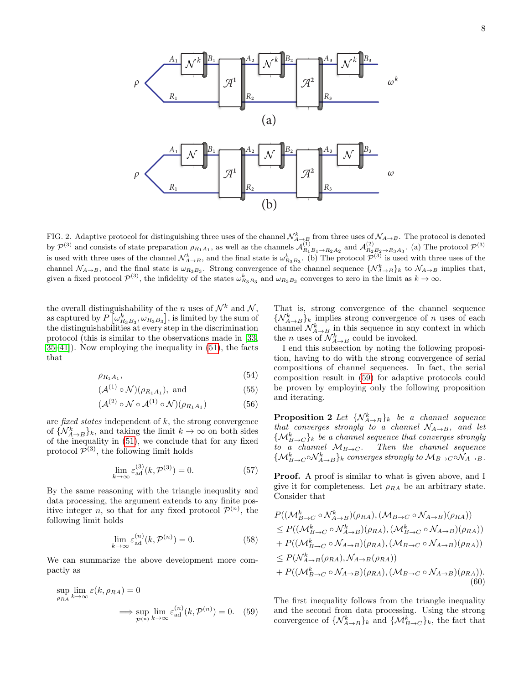

<span id="page-9-0"></span>FIG. 2. Adaptive protocol for distinguishing three uses of the channel  $\mathcal{N}^k_{A\to B}$  from three uses of  $\mathcal{N}_{A\to B}$ . The protocol is denoted by  $\mathcal{P}^{(3)}$  and consists of state preparation  $\rho_{R_1A_1}$ , as well as the channels  $\mathcal{A}_{R_1B_1\rightarrow R_2A_2}^{(1)}$  and  $\mathcal{A}_{R_2B_2\rightarrow R_3A_3}^{(2)}$ . (a) The protocol  $\mathcal{P}^{(3)}$ is used with three uses of the channel  $\mathcal{N}_{A\to B}^k$ , and the final state is  $\omega_{R_3B_3}^k$ . (b) The protocol  $\mathcal{P}^{(3)}$  is used with three uses of the channel  $\mathcal{N}_{A\to B}$ , and the final state is  $\omega_{R_3B_3}$ . Strong convergence of the channel sequence  $\{\mathcal{N}_{A\to B}^k\}$  to  $\mathcal{N}_{A\to B}$  implies that, given a fixed protocol  $\mathcal{P}^{(3)}$ , the infidelity of the states  $\omega_{R_3B_3}^k$  and  $\omega_{R_3B_3}$  converges to zero in the limit as  $k \to \infty$ .

the overall distinguishability of the *n* uses of  $\mathcal{N}^k$  and  $\mathcal{N}$ , as captured by  $P\left[\omega_{R_3B_3}^k, \omega_{R_3B_3}\right]$ , is limited by the sum of the distinguishabilities at every step in the discrimination protocol (this is similar to the observations made in [\[33,](#page-19-20) [35–](#page-19-21)[41\]](#page-19-22)). Now employing the inequality in [\(51\)](#page-8-0), the facts that

$$
\rho_{R_1A_1},\tag{54}
$$

$$
(\mathcal{A}^{(1)} \circ \mathcal{N})(\rho_{R_1 A_1}), \text{ and } (55)
$$

$$
(\mathcal{A}^{(2)} \circ \mathcal{N} \circ \mathcal{A}^{(1)} \circ \mathcal{N})(\rho_{R_1 A_1}) \tag{56}
$$

are fixed states independent of  $k$ , the strong convergence of  $\{ \mathcal{N}_{A\rightarrow B}^k \}_k$ , and taking the limit  $k \rightarrow \infty$  on both sides of the inequality in [\(51\)](#page-8-0), we conclude that for any fixed protocol  $\mathcal{P}^{(3)}$ , the following limit holds

$$
\lim_{k \to \infty} \varepsilon_{\text{ad}}^{(3)}(k, \mathcal{P}^{(3)}) = 0. \tag{57}
$$

By the same reasoning with the triangle inequality and data processing, the argument extends to any finite positive integer *n*, so that for any fixed protocol  $\mathcal{P}^{(n)}$ , the following limit holds

$$
\lim_{k \to \infty} \varepsilon_{\text{ad}}^{(n)}(k, \mathcal{P}^{(n)}) = 0.
$$
 (58)

We can summarize the above development more compactly as

$$
\sup_{\rho_{RA}} \lim_{k \to \infty} \varepsilon(k, \rho_{RA}) = 0
$$
  

$$
\implies \sup_{\mathcal{P}^{(n)}} \lim_{k \to \infty} \varepsilon_{\text{ad}}^{(n)}(k, \mathcal{P}^{(n)}) = 0. \quad (59)
$$

That is, strong convergence of the channel sequence  $\{N_{A\rightarrow B}^k\}_k$  implies strong convergence of n uses of each channel  $\mathcal{N}_{A\rightarrow B}^k$  in this sequence in any context in which the *n* uses of  $\mathcal{N}_{A\rightarrow B}^k$  could be invoked.

I end this subsection by noting the following proposition, having to do with the strong convergence of serial compositions of channel sequences. In fact, the serial composition result in [\(59\)](#page-9-1) for adaptive protocols could be proven by employing only the following proposition and iterating.

<span id="page-9-3"></span>**Proposition 2** Let  $\{N_{A\rightarrow B}^k\}$  be a channel sequence that converges strongly to a channel  $\mathcal{N}_{A\rightarrow B}$ , and let  $\{\mathcal{M}_{B\rightarrow C}^{k}\}_k$  be a channel sequence that converges strongly to a channel  $M_{B\to C}$ . Then the channel sequence  $\{\mathcal{M}_{B\rightarrow C}^{k} \circ \mathcal{N}_{A\rightarrow B}^{k}\}_k$  converges strongly to  $\mathcal{M}_{B\rightarrow C} \circ \mathcal{N}_{A\rightarrow B}$ .

**Proof.** A proof is similar to what is given above, and I give it for completeness. Let  $\rho_{RA}$  be an arbitrary state. Consider that

$$
P((\mathcal{M}_{B\to C}^k \circ \mathcal{N}_{A\to B}^k)(\rho_{RA}), (\mathcal{M}_{B\to C} \circ \mathcal{N}_{A\to B})(\rho_{RA}))
$$
  
\n
$$
\leq P((\mathcal{M}_{B\to C}^k \circ \mathcal{N}_{A\to B}^k)(\rho_{RA}), (\mathcal{M}_{B\to C}^k \circ \mathcal{N}_{A\to B})(\rho_{RA}))
$$
  
\n
$$
+ P((\mathcal{M}_{B\to C}^k \circ \mathcal{N}_{A\to B})(\rho_{RA}), (\mathcal{M}_{B\to C} \circ \mathcal{N}_{A\to B})(\rho_{RA}))
$$
  
\n
$$
\leq P(\mathcal{N}_{A\to B}^k(\rho_{RA}), \mathcal{N}_{A\to B}(\rho_{RA}))
$$
  
\n
$$
+ P((\mathcal{M}_{B\to C}^k \circ \mathcal{N}_{A\to B})(\rho_{RA}), (\mathcal{M}_{B\to C} \circ \mathcal{N}_{A\to B})(\rho_{RA})).
$$
  
\n(60)

<span id="page-9-2"></span><span id="page-9-1"></span>The first inequality follows from the triangle inequality and the second from data processing. Using the strong convergence of  $\{\mathcal{N}_{A\to B}^k\}_k$  and  $\{\mathcal{M}_{B\to C}^k\}_k$ , the fact that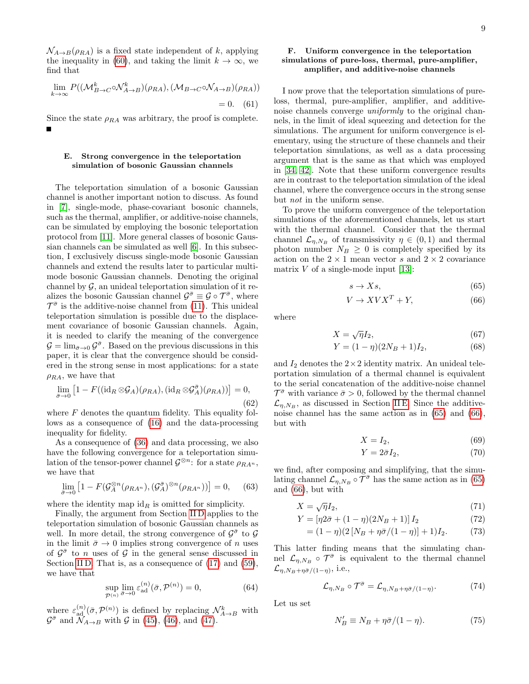$\mathcal{N}_{A\rightarrow B}(\rho_{RA})$  is a fixed state independent of k, applying the inequality in [\(60\)](#page-9-2), and taking the limit  $k \to \infty$ , we find that

$$
\lim_{k \to \infty} P((\mathcal{M}_{B \to C}^k \circ \mathcal{N}_{A \to B}^k)(\rho_{RA}), (\mathcal{M}_{B \to C} \circ \mathcal{N}_{A \to B})(\rho_{RA}))
$$
  
= 0. (61)

Since the state  $\rho_{RA}$  was arbitrary, the proof is complete.

#### <span id="page-10-0"></span>E. Strong convergence in the teleportation simulation of bosonic Gaussian channels

The teleportation simulation of a bosonic Gaussian channel is another important notion to discuss. As found in [\[7\]](#page-18-7), single-mode, phase-covariant bosonic channels, such as the thermal, amplifier, or additive-noise channels, can be simulated by employing the bosonic teleportation protocol from [\[11\]](#page-19-2). More general classes of bosonic Gaussian channels can be simulated as well [\[6\]](#page-18-8). In this subsection, I exclusively discuss single-mode bosonic Gaussian channels and extend the results later to particular multimode bosonic Gaussian channels. Denoting the original channel by  $\mathcal G$ , an unideal teleportation simulation of it realizes the bosonic Gaussian channel  $\mathcal{G}^{\bar{\sigma}} \equiv \mathcal{G} \circ \mathcal{T}^{\bar{\sigma}}$ , where  $\mathcal{T}^{\bar{\sigma}}$  is the additive-noise channel from [\(11\)](#page-4-1). This unideal teleportation simulation is possible due to the displacement covariance of bosonic Gaussian channels. Again, it is needed to clarify the meaning of the convergence  $\mathcal{G} = \lim_{\bar{\sigma} \to 0} \mathcal{G}^{\bar{\sigma}}$ . Based on the previous discussions in this paper, it is clear that the convergence should be considered in the strong sense in most applications: for a state  $\rho_{RA}$ , we have that

$$
\lim_{\bar{\sigma}\to 0} \left[1 - F((\mathrm{id}_R \otimes \mathcal{G}_A)(\rho_{RA}), (\mathrm{id}_R \otimes \mathcal{G}_A^{\bar{\sigma}})(\rho_{RA}))\right] = 0,
$$
\n(62)

where  $F$  denotes the quantum fidelity. This equality follows as a consequence of [\(16\)](#page-5-2) and the data-processing inequality for fidelity.

As a consequence of [\(36\)](#page-6-3) and data processing, we also have the following convergence for a teleportation simulation of the tensor-power channel  $\mathcal{G}^{\otimes n}$ : for a state  $\rho_{RA^n}$ , we have that

$$
\lim_{\bar{\sigma}\to 0} \left[1 - F(\mathcal{G}_A^{\otimes n}(\rho_{RA^n}), (\mathcal{G}_A^{\bar{\sigma}})^{\otimes n}(\rho_{RA^n}))\right] = 0, \quad (63)
$$

where the identity map  $id_R$  is omitted for simplicity.

Finally, the argument from Section [II D](#page-7-1) applies to the teleportation simulation of bosonic Gaussian channels as well. In more detail, the strong convergence of  $\mathcal{G}^{\bar{\sigma}}$  to  $\mathcal{G}$ in the limit  $\bar{\sigma} \rightarrow 0$  implies strong convergence of n uses of  $\mathcal{G}^{\bar{\sigma}}$  to *n* uses of  $\mathcal{G}$  in the general sense discussed in Section [II D.](#page-7-1) That is, as a consequence of  $(17)$  and  $(59)$ , we have that

<span id="page-10-4"></span>
$$
\sup_{\mathcal{P}^{(n)}} \lim_{\bar{\sigma} \to 0} \varepsilon_{\text{ad}}^{(n)}(\bar{\sigma}, \mathcal{P}^{(n)}) = 0,\tag{64}
$$

where  $\varepsilon_{\text{ad}}^{(n)}(\bar{\sigma}, \mathcal{P}^{(n)})$  is defined by replacing  $\mathcal{N}_{A\to B}^k$  with  $\mathcal{G}^{\bar{\sigma}}$  and  $\widetilde{\mathcal{N}}_{A\to B}$  with  $\mathcal{G}$  in [\(45\)](#page-8-1), [\(46\)](#page-8-2), and [\(47\)](#page-8-3).

#### F. Uniform convergence in the teleportation simulations of pure-loss, thermal, pure-amplifier, amplifier, and additive-noise channels

I now prove that the teleportation simulations of pureloss, thermal, pure-amplifier, amplifier, and additivenoise channels converge uniformly to the original channels, in the limit of ideal squeezing and detection for the simulations. The argument for uniform convergence is elementary, using the structure of these channels and their teleportation simulations, as well as a data processing argument that is the same as that which was employed in [\[34,](#page-19-19) [42\]](#page-19-23). Note that these uniform convergence results are in contrast to the teleportation simulation of the ideal channel, where the convergence occurs in the strong sense but not in the uniform sense.

To prove the uniform convergence of the teleportation simulations of the aforementioned channels, let us start with the thermal channel. Consider that the thermal channel  $\mathcal{L}_{\eta,N_B}$  of transmissivity  $\eta \in (0,1)$  and thermal photon number  $N_B \geq 0$  is completely specified by its action on the  $2 \times 1$  mean vector s and  $2 \times 2$  covariance matrix  $V$  of a single-mode input [\[13\]](#page-19-4):

<span id="page-10-2"></span><span id="page-10-1"></span>
$$
s \to Xs,\tag{65}
$$

$$
V \to XV X^T + Y,\tag{66}
$$

where

$$
X = \sqrt{\eta} I_2,\tag{67}
$$

$$
Y = (1 - \eta)(2N_B + 1)I_2,\t(68)
$$

and  $I_2$  denotes the  $2 \times 2$  identity matrix. An unideal teleportation simulation of a thermal channel is equivalent to the serial concatenation of the additive-noise channel  $\mathcal{T}^{\bar{\sigma}}$  with variance  $\bar{\sigma} > 0$ , followed by the thermal channel  $\mathcal{L}_{\eta,N_B}$ , as discussed in Section [II E.](#page-10-0) Since the additivenoise channel has the same action as in [\(65\)](#page-10-1) and [\(66\)](#page-10-2), but with

$$
X = I_2,\t\t(69)
$$

$$
Y = 2\bar{\sigma}I_2,\tag{70}
$$

we find, after composing and simplifying, that the simulating channel  $\mathcal{L}_{\eta,N_B} \circ \bar{\mathcal{T}}^{\bar{\sigma}}$  has the same action as in [\(65\)](#page-10-1) and [\(66\)](#page-10-2), but with

$$
X = \sqrt{\eta} I_2,\tag{71}
$$

$$
Y = [\eta 2\bar{\sigma} + (1 - \eta)(2N_B + 1)] I_2
$$
 (72)

$$
= (1 - \eta)(2[N_B + \eta \bar{\sigma}/(1 - \eta)] + 1)I_2.
$$
 (73)

This latter finding means that the simulating channel  $\mathcal{L}_{\eta,N_B} \circ \mathcal{T}^{\bar{\sigma}}$  is equivalent to the thermal channel  $\mathcal{L}_{\eta, N_B + \eta \bar{\sigma}/(1-\eta)},$  i.e.,

<span id="page-10-3"></span>
$$
\mathcal{L}_{\eta, N_B} \circ \mathcal{T}^{\bar{\sigma}} = \mathcal{L}_{\eta, N_B + \eta \bar{\sigma}/(1-\eta)}.
$$
 (74)

Let us set

$$
N'_B \equiv N_B + \eta \bar{\sigma} / (1 - \eta). \tag{75}
$$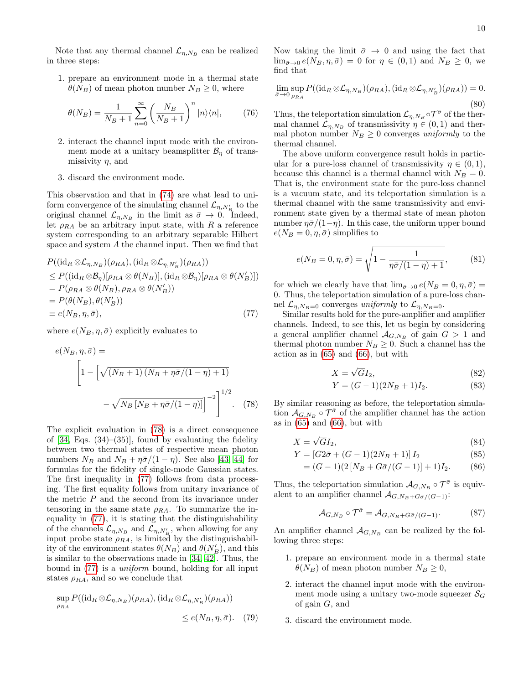Note that any thermal channel  $\mathcal{L}_{\eta,N_B}$  can be realized in three steps:

1. prepare an environment mode in a thermal state  $\theta(N_B)$  of mean photon number  $N_B \geq 0$ , where

$$
\theta(N_B) = \frac{1}{N_B + 1} \sum_{n=0}^{\infty} \left(\frac{N_B}{N_B + 1}\right)^n |n\rangle\langle n|, \qquad (76)
$$

- 2. interact the channel input mode with the environment mode at a unitary beamsplitter  $\mathcal{B}_\eta$  of transmissivity  $\eta$ , and
- 3. discard the environment mode.

This observation and that in [\(74\)](#page-10-3) are what lead to uniform convergence of the simulating channel  $\mathcal{L}_{\eta, N'_B}$  to the original channel  $\mathcal{L}_{\eta,N_B}$  in the limit as  $\bar{\sigma} \to 0$ . Indeed, let  $\rho_{RA}$  be an arbitrary input state, with R a reference system corresponding to an arbitrary separable Hilbert space and system A the channel input. Then we find that

$$
P((\mathrm{id}_{R} \otimes \mathcal{L}_{\eta, N_{B}})(\rho_{RA}), (\mathrm{id}_{R} \otimes \mathcal{L}_{\eta, N'_{B}})(\rho_{RA}))
$$
  
\n
$$
\leq P((\mathrm{id}_{R} \otimes \mathcal{B}_{\eta})[\rho_{RA} \otimes \theta(N_{B})], (\mathrm{id}_{R} \otimes \mathcal{B}_{\eta})[\rho_{RA} \otimes \theta(N'_{B})])
$$
  
\n
$$
= P(\rho_{RA} \otimes \theta(N_{B}), \rho_{RA} \otimes \theta(N'_{B}))
$$
  
\n
$$
= P(\theta(N_{B}), \theta(N'_{B}))
$$
  
\n
$$
\equiv e(N_{B}, \eta, \bar{\sigma}),
$$
\n(77)

where  $e(N_B, \eta, \bar{\sigma})$  explicitly evaluates to

$$
e(N_B, \eta, \bar{\sigma}) =
$$
\n
$$
\left[1 - \left[\sqrt{(N_B + 1)(N_B + \eta \bar{\sigma}/(1 - \eta) + 1)} - \sqrt{N_B \left[N_B + \eta \bar{\sigma}/(1 - \eta)\right]}\right]^{-2}\right]^{1/2}.
$$
\n(78)

The explicit evaluation in [\(78\)](#page-11-0) is a direct consequence of  $[34, Egs. (34)–(35)]$  $[34, Egs. (34)–(35)]$ , found by evaluating the fidelity between two thermal states of respective mean photon numbers  $N_B$  and  $N_B + \eta \bar{\sigma}/(1 - \eta)$ . See also [\[43,](#page-19-24) [44\]](#page-20-0) for formulas for the fidelity of single-mode Gaussian states. The first inequality in [\(77\)](#page-11-1) follows from data processing. The first equality follows from unitary invariance of the metric  $P$  and the second from its invariance under tensoring in the same state  $\rho_{RA}$ . To summarize the inequality in [\(77\)](#page-11-1), it is stating that the distinguishability of the channels  $\mathcal{L}_{\eta,N_B}$  and  $\mathcal{L}_{\eta,N'_B}$ , when allowing for any input probe state  $\rho_{RA}$ , is limited by the distinguishability of the environment states  $\theta(N_B)$  and  $\theta(N'_B)$ , and this is similar to the observations made in [\[34,](#page-19-19) [42\]](#page-19-23). Thus, the bound in [\(77\)](#page-11-1) is a uniform bound, holding for all input states  $\rho_{RA}$ , and so we conclude that

$$
\sup_{\rho_{RA}} P((\mathrm{id}_{R} \otimes \mathcal{L}_{\eta, N_B})(\rho_{RA}), (\mathrm{id}_{R} \otimes \mathcal{L}_{\eta, N'_B})(\rho_{RA}))
$$
  

$$
\leq e(N_B, \eta, \bar{\sigma}). \quad (79)
$$

Now taking the limit  $\bar{\sigma} \rightarrow 0$  and using the fact that  $\lim_{\bar{\sigma}\to 0} e(N_B, \eta, \bar{\sigma}) = 0$  for  $\eta \in (0, 1)$  and  $N_B \geq 0$ , we find that

$$
\lim_{\bar{\sigma}\to 0} \sup_{\rho_{RA}} P((\mathrm{id}_R \otimes \mathcal{L}_{\eta, N_B})(\rho_{RA}), (\mathrm{id}_R \otimes \mathcal{L}_{\eta, N'_B})(\rho_{RA})) = 0.
$$
\n(80)

Thus, the teleportation simulation  $\mathcal{L}_{\eta,N_B} \circ \mathcal{T}^{\bar{\sigma}}$  of the thermal channel  $\mathcal{L}_{\eta,N_B}$  of transmissivity  $\eta \in (0,1)$  and thermal photon number  $N_B \geq 0$  converges uniformly to the thermal channel.

The above uniform convergence result holds in particular for a pure-loss channel of transmissivity  $\eta \in (0,1)$ , because this channel is a thermal channel with  $N_B = 0$ . That is, the environment state for the pure-loss channel is a vacuum state, and its teleportation simulation is a thermal channel with the same transmissivity and environment state given by a thermal state of mean photon number  $\eta \bar{\sigma}/(1-\eta)$ . In this case, the uniform upper bound  $e(N_B = 0, \eta, \bar{\sigma})$  simplifies to

$$
e(N_B = 0, \eta, \bar{\sigma}) = \sqrt{1 - \frac{1}{\eta \bar{\sigma}/(1 - \eta) + 1}},
$$
 (81)

for which we clearly have that  $\lim_{\bar{\sigma}\to 0} e(N_B=0, \eta, \bar{\sigma})=$ 0. Thus, the teleportation simulation of a pure-loss channel  $\mathcal{L}_{n,N_B=0}$  converges uniformly to  $\mathcal{L}_{n,N_B=0}$ .

<span id="page-11-1"></span>Similar results hold for the pure-amplifier and amplifier channels. Indeed, to see this, let us begin by considering a general amplifier channel  $\mathcal{A}_{G,N_B}$  of gain  $G > 1$  and thermal photon number  $N_B \geq 0$ . Such a channel has the action as in  $(65)$  and  $(66)$ , but with

$$
X = \sqrt{G}I_2,\tag{82}
$$

$$
Y = (G - 1)(2N_B + 1)I_2.
$$
 (83)

<span id="page-11-0"></span>By similar reasoning as before, the teleportation simulation  $\mathcal{A}_{G,N_B} \circ \mathcal{T}^{\bar{\sigma}}$  of the amplifier channel has the action as in  $(65)$  and  $(66)$ , but with

$$
X = \sqrt{G}I_2,\tag{84}
$$

$$
Y = [G2\bar{\sigma} + (G - 1)(2N_B + 1)]I_2
$$
\n(85)

$$
= (G-1)(2[NB + G\bar{\sigma}/(G-1)] + 1)I2.
$$
 (86)

Thus, the teleportation simulation  $\mathcal{A}_{G,N_B} \circ \mathcal{T}^{\bar{\sigma}}$  is equivalent to an amplifier channel  $\mathcal{A}_{G, N_B+G\bar{\sigma}/(G-1)}$ :

$$
\mathcal{A}_{G,N_B} \circ \mathcal{T}^{\bar{\sigma}} = \mathcal{A}_{G,N_B + G\bar{\sigma}/(G-1)}.
$$
 (87)

An amplifier channel  $\mathcal{A}_{G,N_B}$  can be realized by the following three steps:

- 1. prepare an environment mode in a thermal state  $\theta(N_B)$  of mean photon number  $N_B \geq 0$ ,
- 2. interact the channel input mode with the environment mode using a unitary two-mode squeezer  $\mathcal{S}_G$ of gain  $G$ , and
- <span id="page-11-2"></span>3. discard the environment mode.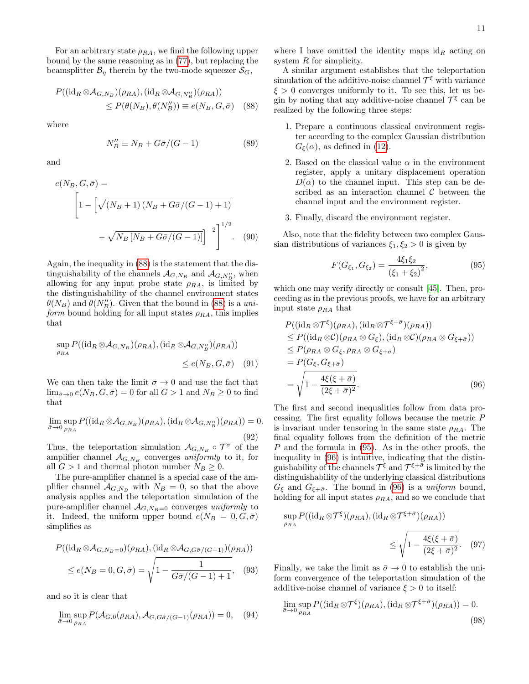For an arbitrary state  $\rho_{RA}$ , we find the following upper bound by the same reasoning as in [\(77\)](#page-11-1), but replacing the beamsplitter  $\mathcal{B}_\eta$  therein by the two-mode squeezer  $\mathcal{S}_G$ ,

$$
P((\mathrm{id}_R \otimes A_{G,N_B})(\rho_{RA}), (\mathrm{id}_R \otimes A_{G,N_B''})(\rho_{RA}))
$$
  
\n
$$
\leq P(\theta(N_B), \theta(N_B'')) \equiv e(N_B, G, \bar{\sigma})
$$
 (88)

where

$$
N_B'' \equiv N_B + G\bar{\sigma}/(G-1) \tag{89}
$$

and

$$
e(N_B, G, \bar{\sigma}) =
$$
  
\n
$$
\left[1 - \left[\sqrt{(N_B + 1)(N_B + G\bar{\sigma}/(G - 1) + 1)}\right] - \sqrt{N_B \left[N_B + G\bar{\sigma}/(G - 1)\right]}\right]^{1/2}.
$$
 (90)

Again, the inequality in [\(88\)](#page-12-0) is the statement that the distinguishability of the channels  $\mathcal{A}_{G,N_B}$  and  $\mathcal{A}_{G,N_B}$ , when allowing for any input probe state  $\rho_{RA}$ , is limited by the distinguishability of the channel environment states  $\theta(N_B)$  and  $\theta(N_B'')$ . Given that the bound in [\(88\)](#page-12-0) is a uniform bound holding for all input states  $\rho_{RA}$ , this implies that

$$
\sup_{\rho_{RA}} P((\mathrm{id}_R \otimes A_{G,N_B})(\rho_{RA}), (\mathrm{id}_R \otimes A_{G,N_B''})(\rho_{RA}))
$$
  

$$
\leq e(N_B, G, \bar{\sigma}) \quad (91)
$$

We can then take the limit  $\bar{\sigma} \rightarrow 0$  and use the fact that  $\lim_{\bar{\sigma}\to 0} e(N_B, G, \bar{\sigma}) = 0$  for all  $G > 1$  and  $N_B \geq 0$  to find that

$$
\lim_{\bar{\sigma}\to 0} \sup_{\rho_{RA}} P((\mathrm{id}_R \otimes \mathcal{A}_{G,N_B})(\rho_{RA}), (\mathrm{id}_R \otimes \mathcal{A}_{G,N_B''})(\rho_{RA})) = 0.
$$
\n(92)

Thus, the teleportation simulation  $\mathcal{A}_{G,N_B} \circ \mathcal{T}^{\bar{\sigma}}$  of the amplifier channel  $\mathcal{A}_{G,N_B}$  converges uniformly to it, for all  $G > 1$  and thermal photon number  $N_B \geq 0$ .

The pure-amplifier channel is a special case of the amplifier channel  $A_{G,N_B}$  with  $N_B = 0$ , so that the above analysis applies and the teleportation simulation of the pure-amplifier channel  $A_{G,N_B=0}$  converges uniformly to it. Indeed, the uniform upper bound  $e(N_B = 0, G, \bar{\sigma})$ simplifies as

$$
P((\mathrm{id}_R \otimes \mathcal{A}_{G,N_B=0})(\rho_{RA}), (\mathrm{id}_R \otimes \mathcal{A}_{G,G\bar{\sigma}/(G-1)})(\rho_{RA}))
$$
  

$$
\leq e(N_B=0, G, \bar{\sigma}) = \sqrt{1 - \frac{1}{G\bar{\sigma}/(G-1) + 1}}, \quad (93)
$$

and so it is clear that

$$
\lim_{\bar{\sigma}\to 0} \sup_{\rho_{RA}} P(\mathcal{A}_{G,0}(\rho_{RA}), \mathcal{A}_{G,G\bar{\sigma}/(G-1)}(\rho_{RA})) = 0, \quad (94)
$$

where I have omitted the identity maps  $id_R$  acting on system  $R$  for simplicity.

<span id="page-12-0"></span>A similar argument establishes that the teleportation simulation of the additive-noise channel  $\mathcal{T}^{\xi}$  with variance  $\xi > 0$  converges uniformly to it. To see this, let us begin by noting that any additive-noise channel  $\mathcal{T}^{\xi}$  can be realized by the following three steps:

- 1. Prepare a continuous classical environment register according to the complex Gaussian distribution  $G_{\xi}(\alpha)$ , as defined in [\(12\)](#page-4-3).
- 2. Based on the classical value  $\alpha$  in the environment register, apply a unitary displacement operation  $D(\alpha)$  to the channel input. This step can be described as an interaction channel  $\mathcal C$  between the channel input and the environment register.
- 3. Finally, discard the environment register.

Also, note that the fidelity between two complex Gaussian distributions of variances  $\xi_1, \xi_2 > 0$  is given by

<span id="page-12-2"></span><span id="page-12-1"></span>
$$
F(G_{\xi_1}, G_{\xi_2}) = \frac{4\xi_1\xi_2}{(\xi_1 + \xi_2)^2},
$$
\n(95)

which one may verify directly or consult [\[45\]](#page-20-1). Then, proceeding as in the previous proofs, we have for an arbitrary input state  $\rho_{RA}$  that

<span id="page-12-3"></span>
$$
P((\mathrm{id}_{R} \otimes \mathcal{T}^{\xi})(\rho_{RA}), (\mathrm{id}_{R} \otimes \mathcal{T}^{\xi+\bar{\sigma}})(\rho_{RA}))
$$
  
\n
$$
\leq P((\mathrm{id}_{R} \otimes \mathcal{C})(\rho_{RA} \otimes G_{\xi}), (\mathrm{id}_{R} \otimes \mathcal{C})(\rho_{RA} \otimes G_{\xi+\bar{\sigma}}))
$$
  
\n
$$
\leq P(\rho_{RA} \otimes G_{\xi}, \rho_{RA} \otimes G_{\xi+\bar{\sigma}})
$$
  
\n
$$
= P(G_{\xi}, G_{\xi+\bar{\sigma}})
$$
  
\n
$$
= \sqrt{1 - \frac{4\xi(\xi+\bar{\sigma})}{(2\xi+\bar{\sigma})^2}}.
$$
 (96)

The first and second inequalities follow from data processing. The first equality follows because the metric P is invariant under tensoring in the same state  $\rho_{RA}$ . The final equality follows from the definition of the metric  $P$  and the formula in [\(95\)](#page-12-1). As in the other proofs, the inequality in [\(96\)](#page-12-2) is intuitive, indicating that the distinguishability of the channels  $\mathcal{T}^{\xi}$  and  $\mathcal{T}^{\xi+\bar{\sigma}}$  is limited by the distinguishability of the underlying classical distributions  $G_{\xi}$  and  $G_{\xi+\bar{\sigma}}$ . The bound in [\(96\)](#page-12-2) is a *uniform* bound, holding for all input states  $\rho_{RA}$ , and so we conclude that

<span id="page-12-4"></span>
$$
\sup_{\rho_{RA}} P((\mathrm{id}_R \otimes \mathcal{T}^{\xi})(\rho_{RA}), (\mathrm{id}_R \otimes \mathcal{T}^{\xi+\bar{\sigma}})(\rho_{RA}))
$$
  

$$
\leq \sqrt{1 - \frac{4\xi(\xi+\bar{\sigma})}{(2\xi+\bar{\sigma})^2}}. \quad (97)
$$

Finally, we take the limit as  $\bar{\sigma} \to 0$  to establish the uniform convergence of the teleportation simulation of the additive-noise channel of variance  $\xi > 0$  to itself:

$$
\lim_{\bar{\sigma}\to 0} \sup_{\rho_{RA}} P((\mathrm{id}_R \otimes \mathcal{T}^{\xi})(\rho_{RA}), (\mathrm{id}_R \otimes \mathcal{T}^{\xi+\bar{\sigma}})(\rho_{RA})) = 0.
$$
\n(98)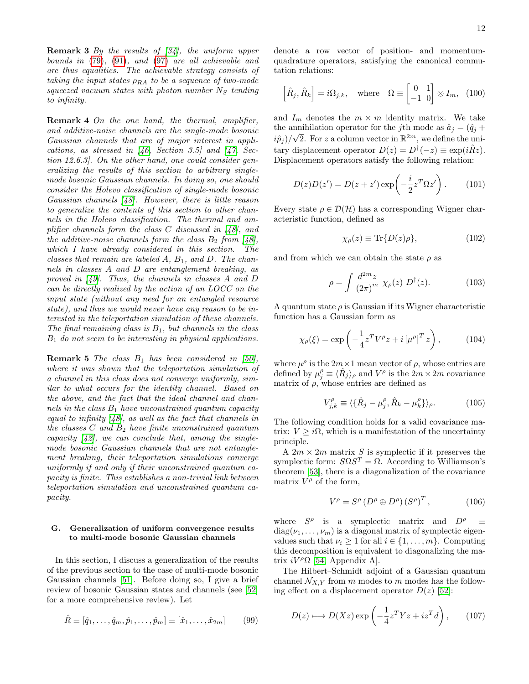**Remark 3** By the results of  $[34]$ , the uniform upper bounds in [\(79\)](#page-11-2), [\(91\)](#page-12-3), and [\(97\)](#page-12-4) are all achievable and are thus equalities. The achievable strategy consists of taking the input states  $\rho_{RA}$  to be a sequence of two-mode squeezed vacuum states with photon number  $N<sub>S</sub>$  tending to infinity.

Remark 4 On the one hand, the thermal, amplifier, and additive-noise channels are the single-mode bosonic Gaussian channels that are of major interest in applications, as stressed in  $\begin{bmatrix} 46, & \text{Section} & 3.5 \end{bmatrix}$  and  $\begin{bmatrix} 47, & \text{Sec-} \end{bmatrix}$ tion 12.6.3]. On the other hand, one could consider generalizing the results of this section to arbitrary singlemode bosonic Gaussian channels. In doing so, one should consider the Holevo classification of single-mode bosonic Gaussian channels [\[48\]](#page-20-4). However, there is little reason to generalize the contents of this section to other channels in the Holevo classification. The thermal and amplifier channels form the class C discussed in [\[48\]](#page-20-4), and the additive-noise channels form the class  $B_2$  from [\[48\]](#page-20-4), which I have already considered in this section. The classes that remain are labeled  $A, B_1,$  and  $D$ . The channels in classes A and D are entanglement breaking, as proved in [\[49\]](#page-20-5). Thus, the channels in classes A and D can be directly realized by the action of an LOCC on the input state (without any need for an entangled resource state), and thus we would never have any reason to be interested in the teleportation simulation of these channels. The final remaining class is  $B_1$ , but channels in the class  $B_1$  do not seem to be interesting in physical applications.

**Remark 5** The class  $B_1$  has been considered in [\[50\]](#page-20-6), where it was shown that the teleportation simulation of a channel in this class does not converge uniformly, similar to what occurs for the identity channel. Based on the above, and the fact that the ideal channel and channels in the class  $B_1$  have unconstrained quantum capacity equal to infinity  $(48)$ , as well as the fact that channels in the classes C and  $B_2$  have finite unconstrained quantum capacity  $[42]$ , we can conclude that, among the singlemode bosonic Gaussian channels that are not entanglement breaking, their teleportation simulations converge uniformly if and only if their unconstrained quantum capacity is finite. This establishes a non-trivial link between teleportation simulation and unconstrained quantum capacity.

#### G. Generalization of uniform convergence results to multi-mode bosonic Gaussian channels

In this section, I discuss a generalization of the results of the previous section to the case of multi-mode bosonic Gaussian channels [\[51\]](#page-20-7). Before doing so, I give a brief review of bosonic Gaussian states and channels (see [\[52\]](#page-20-8) for a more comprehensive review). Let

$$
\hat{R} \equiv [\hat{q}_1, \dots, \hat{q}_m, \hat{p}_1, \dots, \hat{p}_m] \equiv [\hat{x}_1, \dots, \hat{x}_{2m}] \tag{99}
$$

denote a row vector of position- and momentumquadrature operators, satisfying the canonical commutation relations:

$$
\left[\hat{R}_j, \hat{R}_k\right] = i\Omega_{j,k}, \quad \text{where} \quad \Omega \equiv \begin{bmatrix} 0 & 1 \\ -1 & 0 \end{bmatrix} \otimes I_m, \quad (100)
$$

and  $I_m$  denotes the  $m \times m$  identity matrix. We take the annihilation operator for the jth mode as  $\hat{a}_j = (\hat{q}_j +$  $(i\hat{p}_j)/\sqrt{2}$ . For z a column vector in  $\mathbb{R}^{2m}$ , we define the unitary displacement operator  $D(z) = D^{\dagger}(-z) \equiv \exp(i\hat{R}z)$ . Displacement operators satisfy the following relation:

$$
D(z)D(z') = D(z + z') \exp\left(-\frac{i}{2}z^{T}\Omega z'\right).
$$
 (101)

Every state  $\rho \in \mathcal{D}(\mathcal{H})$  has a corresponding Wigner characteristic function, defined as

$$
\chi_{\rho}(z) \equiv \text{Tr}\{D(z)\rho\},\tag{102}
$$

and from which we can obtain the state  $\rho$  as

$$
\rho = \int \frac{d^{2m}z}{(2\pi)^m} \ \chi_{\rho}(z) \ D^{\dagger}(z). \tag{103}
$$

A quantum state  $\rho$  is Gaussian if its Wigner characteristic function has a Gaussian form as

$$
\chi_{\rho}(\xi) = \exp\left(-\frac{1}{4}z^T V^{\rho} z + i\left[\mu^{\rho}\right]^T z\right),\tag{104}
$$

where  $\mu^{\rho}$  is the  $2m \times 1$  mean vector of  $\rho$ , whose entries are defined by  $\mu_j^{\rho} \equiv \langle \hat{R}_j \rangle_{\rho}$  and  $V^{\rho}$  is the  $2m \times 2m$  covariance matrix of  $\rho$ , whose entries are defined as

$$
V_{j,k}^{\rho} \equiv \langle \{\hat{R}_j - \mu_j^{\rho}, \hat{R}_k - \mu_k^{\rho}\} \rangle_{\rho}.
$$
 (105)

The following condition holds for a valid covariance matrix:  $V \geq i\Omega$ , which is a manifestation of the uncertainty principle.

A  $2m \times 2m$  matrix S is symplectic if it preserves the symplectic form:  $S\Omega S^{T} = \Omega$ . According to Williamson's theorem [\[53\]](#page-20-9), there is a diagonalization of the covariance matrix  $V^{\rho}$  of the form,

$$
V^{\rho} = S^{\rho} \left( D^{\rho} \oplus D^{\rho} \right) \left( S^{\rho} \right)^{T}, \tag{106}
$$

where  $S^{\rho}$  is a symplectic matrix and  $D^{\rho} \equiv$  $diag(\nu_1, \ldots, \nu_m)$  is a diagonal matrix of symplectic eigenvalues such that  $\nu_i \geq 1$  for all  $i \in \{1, ..., m\}$ . Computing this decomposition is equivalent to diagonalizing the matrix  $iV^{\rho} \Omega$  [\[54,](#page-20-10) Appendix A].

The Hilbert–Schmidt adjoint of a Gaussian quantum channel  $\mathcal{N}_{X,Y}$  from m modes to m modes has the following effect on a displacement operator  $D(z)$  [\[52\]](#page-20-8):

<span id="page-13-0"></span>
$$
D(z) \longmapsto D(Xz) \exp\left(-\frac{1}{4}z^T Y z + iz^T d\right), \qquad (107)
$$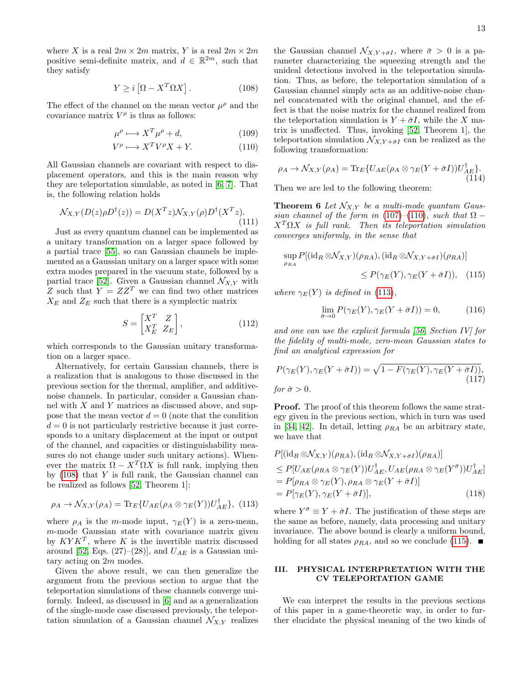where X is a real  $2m \times 2m$  matrix, Y is a real  $2m \times 2m$ positive semi-definite matrix, and  $d \in \mathbb{R}^{2m}$ , such that they satisfy

<span id="page-14-1"></span>
$$
Y \ge i \left[ \Omega - X^T \Omega X \right]. \tag{108}
$$

The effect of the channel on the mean vector  $\mu^{\rho}$  and the covariance matrix  $V^{\rho}$  is thus as follows:

$$
\mu^{\rho} \longmapsto X^{T} \mu^{\rho} + d, \qquad (109)
$$

$$
V^{\rho} \longmapsto X^{T}V^{\rho}X + Y. \tag{110}
$$

All Gaussian channels are covariant with respect to displacement operators, and this is the main reason why they are teleportation simulable, as noted in [\[6,](#page-18-8) [7\]](#page-18-7). That is, the following relation holds

$$
\mathcal{N}_{X,Y}(D(z)\rho D^{\dagger}(z)) = D(X^T z) \mathcal{N}_{X,Y}(\rho) D^{\dagger}(X^T z). \tag{111}
$$

Just as every quantum channel can be implemented as a unitary transformation on a larger space followed by a partial trace [\[55\]](#page-20-11), so can Gaussian channels be implemented as a Gaussian unitary on a larger space with some extra modes prepared in the vacuum state, followed by a partial trace [\[52\]](#page-20-8). Given a Gaussian channel  $\mathcal{N}_{X,Y}$  with Z such that  $Y = ZZ^T$  we can find two other matrices  $X_E$  and  $Z_E$  such that there is a symplectic matrix

$$
S = \begin{bmatrix} X^T & Z \\ X_E^T & Z_E \end{bmatrix},
$$
\n(112)

which corresponds to the Gaussian unitary transformation on a larger space.

Alternatively, for certain Gaussian channels, there is a realization that is analogous to those discussed in the previous section for the thermal, amplifier, and additivenoise channels. In particular, consider a Gaussian channel with  $X$  and  $Y$  matrices as discussed above, and suppose that the mean vector  $d = 0$  (note that the condition  $d = 0$  is not particularly restrictive because it just corresponds to a unitary displacement at the input or output of the channel, and capacities or distinguishability measures do not change under such unitary actions). Whenever the matrix  $\Omega - X^T \Omega X$  is full rank, implying then by  $(108)$  that Y is full rank, the Gaussian channel can be realized as follows [\[52,](#page-20-8) Theorem 1]:

<span id="page-14-3"></span>
$$
\rho_A \to \mathcal{N}_{X,Y}(\rho_A) = \text{Tr}_E \{ U_{AE}(\rho_A \otimes \gamma_E(Y)) U_{AE}^{\dagger} \}, (113)
$$

where  $\rho_A$  is the m-mode input,  $\gamma_E(Y)$  is a zero-mean, m-mode Gaussian state with covariance matrix given by  $K Y K^T$ , where K is the invertible matrix discussed around [\[52,](#page-20-8) Eqs. (27)–(28)], and  $U_{AE}$  is a Gaussian unitary acting on 2m modes.

Given the above result, we can then generalize the argument from the previous section to argue that the teleportation simulations of these channels converge uniformly. Indeed, as discussed in [\[6\]](#page-18-8) and as a generalization of the single-mode case discussed previously, the teleportation simulation of a Gaussian channel  $\mathcal{N}_{X,Y}$  realizes

the Gaussian channel  $\mathcal{N}_{X,Y+\bar{\sigma}I}$ , where  $\bar{\sigma}>0$  is a parameter characterizing the squeezing strength and the unideal detections involved in the teleportation simulation. Thus, as before, the teleportation simulation of a Gaussian channel simply acts as an additive-noise channel concatenated with the original channel, and the effect is that the noise matrix for the channel realized from the teleportation simulation is  $Y + \bar{\sigma}I$ , while the X matrix is unaffected. Thus, invoking [\[52,](#page-20-8) Theorem 1], the teleportation simulation  $\mathcal{N}_{X,Y+\bar{\sigma}I}$  can be realized as the following transformation:

<span id="page-14-2"></span>
$$
\rho_A \to \mathcal{N}_{X,Y}(\rho_A) = \text{Tr}_E \{ U_{AE}(\rho_A \otimes \gamma_E(Y + \bar{\sigma}I)) U_{AE}^{\dagger} \}.
$$
\n(114)

Then we are led to the following theorem:

**Theorem 6** Let  $\mathcal{N}_{X,Y}$  be a multi-mode quantum Gaus-sian channel of the form in [\(107\)](#page-13-0)–[\(110\)](#page-14-2), such that  $\Omega$  –  $X<sup>T</sup> \Omega X$  is full rank. Then its teleportation simulation converges uniformly, in the sense that

$$
\sup_{\rho_{RA}} P[(\mathrm{id}_R \otimes \mathcal{N}_{X,Y})(\rho_{RA}), (\mathrm{id}_R \otimes \mathcal{N}_{X,Y+\bar{\sigma}I})(\rho_{RA})] \leq P(\gamma_E(Y), \gamma_E(Y+\bar{\sigma}I)), \quad (115)
$$

where  $\gamma_E(Y)$  is defined in [\(113\)](#page-14-3),

<span id="page-14-4"></span>
$$
\lim_{\bar{\sigma}\to 0} P(\gamma_E(Y), \gamma_E(Y + \bar{\sigma}I)) = 0,\tag{116}
$$

and one can use the explicit formula [\[56,](#page-20-12) Section IV] for the fidelity of multi-mode, zero-mean Gaussian states to find an analytical expression for

$$
P(\gamma_E(Y), \gamma_E(Y + \bar{\sigma}I)) = \sqrt{1 - F(\gamma_E(Y), \gamma_E(Y + \bar{\sigma}I))},
$$
  
for  $\bar{\sigma} > 0$ . (117)

**Proof.** The proof of this theorem follows the same strategy given in the previous section, which in turn was used in [\[34,](#page-19-19) [42\]](#page-19-23). In detail, letting  $\rho_{RA}$  be an arbitrary state, we have that

$$
P[(\mathrm{id}_{R} \otimes \mathcal{N}_{X,Y})(\rho_{RA}), (\mathrm{id}_{R} \otimes \mathcal{N}_{X,Y+\bar{\sigma}I})(\rho_{RA})]
$$
  
\n
$$
\leq P[U_{AE}(\rho_{RA} \otimes \gamma_{E}(Y))U_{AE}^{\dagger}, U_{AE}(\rho_{RA} \otimes \gamma_{E}(Y^{\bar{\sigma}}))U_{AE}^{\dagger}]
$$
  
\n
$$
= P[\rho_{RA} \otimes \gamma_{E}(Y), \rho_{RA} \otimes \gamma_{E}(Y + \bar{\sigma}I)]
$$
  
\n
$$
= P[\gamma_{E}(Y), \gamma_{E}(Y + \bar{\sigma}I)], \qquad (118)
$$

where  $Y^{\bar{\sigma}} \equiv Y + \bar{\sigma}I$ . The justification of these steps are the same as before, namely, data processing and unitary invariance. The above bound is clearly a uniform bound, holding for all states  $\rho_{RA}$ , and so we conclude [\(115\)](#page-14-4).  $\blacksquare$ 

#### <span id="page-14-0"></span>III. PHYSICAL INTERPRETATION WITH THE CV TELEPORTATION GAME

We can interpret the results in the previous sections of this paper in a game-theoretic way, in order to further elucidate the physical meaning of the two kinds of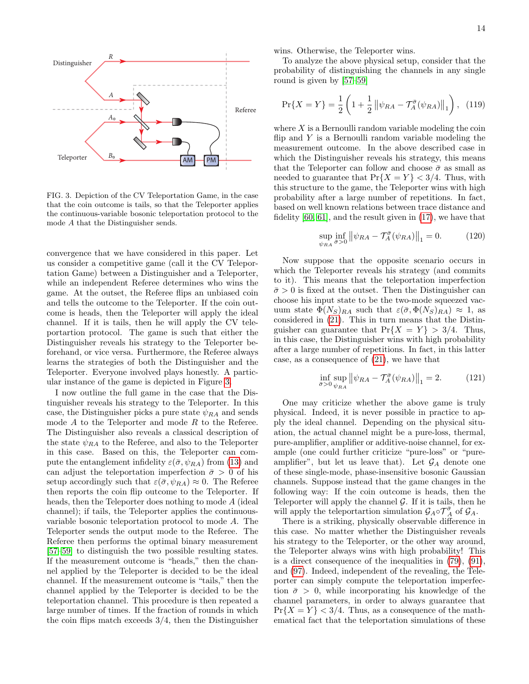

<span id="page-15-0"></span>FIG. 3. Depiction of the CV Teleportation Game, in the case that the coin outcome is tails, so that the Teleporter applies the continuous-variable bosonic teleportation protocol to the mode A that the Distinguisher sends.

convergence that we have considered in this paper. Let us consider a competitive game (call it the CV Teleportation Game) between a Distinguisher and a Teleporter, while an independent Referee determines who wins the game. At the outset, the Referee flips an unbiased coin and tells the outcome to the Teleporter. If the coin outcome is heads, then the Teleporter will apply the ideal channel. If it is tails, then he will apply the CV teleportartion protocol. The game is such that either the Distinguisher reveals his strategy to the Teleporter beforehand, or vice versa. Furthermore, the Referee always learns the strategies of both the Distinguisher and the Teleporter. Everyone involved plays honestly. A particular instance of the game is depicted in Figure [3.](#page-15-0)

I now outline the full game in the case that the Distinguisher reveals his strategy to the Teleporter. In this case, the Distinguisher picks a pure state  $\psi_{RA}$  and sends mode  $A$  to the Teleporter and mode  $R$  to the Referee. The Distinguisher also reveals a classical description of the state  $\psi_{RA}$  to the Referee, and also to the Teleporter in this case. Based on this, the Teleporter can compute the entanglement infidelity  $\varepsilon(\bar{\sigma}, \psi_{RA})$  from [\(13\)](#page-5-4) and can adjust the teleportation imperfection  $\bar{\sigma} > 0$  of his setup accordingly such that  $\varepsilon(\bar{\sigma}, \psi_{RA}) \approx 0$ . The Referee then reports the coin flip outcome to the Teleporter. If heads, then the Teleporter does nothing to mode A (ideal channel); if tails, the Teleporter applies the continuousvariable bosonic teleportation protocol to mode A. The Teleporter sends the output mode to the Referee. The Referee then performs the optimal binary measurement [\[57–](#page-20-13)[59\]](#page-20-14) to distinguish the two possible resulting states. If the measurement outcome is "heads," then the channel applied by the Teleporter is decided to be the ideal channel. If the measurement outcome is "tails," then the channel applied by the Teleporter is decided to be the teleportation channel. This procedure is then repeated a large number of times. If the fraction of rounds in which the coin flips match exceeds 3/4, then the Distinguisher

wins. Otherwise, the Teleporter wins.

To analyze the above physical setup, consider that the probability of distinguishing the channels in any single round is given by [\[57](#page-20-13)[–59\]](#page-20-14)

$$
\Pr\{X = Y\} = \frac{1}{2} \left( 1 + \frac{1}{2} \left\| \psi_{RA} - \mathcal{T}_A^{\bar{\sigma}}(\psi_{RA}) \right\|_1 \right), \tag{119}
$$

where  $X$  is a Bernoulli random variable modeling the coin flip and  $Y$  is a Bernoulli random variable modeling the measurement outcome. In the above described case in which the Distinguisher reveals his strategy, this means that the Teleporter can follow and choose  $\bar{\sigma}$  as small as needed to guarantee that  $Pr{X = Y} < 3/4$ . Thus, with this structure to the game, the Teleporter wins with high probability after a large number of repetitions. In fact, based on well known relations between trace distance and fidelity [\[60,](#page-20-15) [61\]](#page-20-16), and the result given in [\(17\)](#page-5-1), we have that

$$
\sup_{\psi_{RA}} \inf_{\bar{\sigma} > 0} \left\| \psi_{RA} - \mathcal{T}_A^{\bar{\sigma}}(\psi_{RA}) \right\|_1 = 0. \tag{120}
$$

Now suppose that the opposite scenario occurs in which the Teleporter reveals his strategy (and commits to it). This means that the teleportation imperfection  $\bar{\sigma} > 0$  is fixed at the outset. Then the Distinguisher can choose his input state to be the two-mode squeezed vacuum state  $\Phi(N_S)_{RA}$  such that  $\varepsilon(\bar{\sigma}, \Phi(N_S)_{RA}) \approx 1$ , as considered in [\(21\)](#page-5-3). This in turn means that the Distinguisher can guarantee that  $Pr{X = Y} > 3/4$ . Thus, in this case, the Distinguisher wins with high probability after a large number of repetitions. In fact, in this latter case, as a consequence of [\(21\)](#page-5-3), we have that

$$
\inf_{\bar{\sigma} > 0} \sup_{\psi_{RA}} \left\| \psi_{RA} - \mathcal{T}_A^{\bar{\sigma}}(\psi_{RA}) \right\|_1 = 2. \tag{121}
$$

One may criticize whether the above game is truly physical. Indeed, it is never possible in practice to apply the ideal channel. Depending on the physical situation, the actual channel might be a pure-loss, thermal, pure-amplifier, amplifier or additive-noise channel, for example (one could further criticize "pure-loss" or "pureamplifier", but let us leave that). Let  $\mathcal{G}_A$  denote one of these single-mode, phase-insensitive bosonic Gaussian channels. Suppose instead that the game changes in the following way: If the coin outcome is heads, then the Teleporter will apply the channel  $G$ . If it is tails, then he will apply the teleportartion simulation  $\mathcal{G}_A \circ \mathcal{T}_A^{\bar{\sigma}}$  of  $\mathcal{G}_A$ .

There is a striking, physically observable difference in this case. No matter whether the Distinguisher reveals his strategy to the Teleporter, or the other way around, the Teleporter always wins with high probability! This is a direct consequence of the inequalities in [\(79\)](#page-11-2), [\(91\)](#page-12-3), and [\(97\)](#page-12-4). Indeed, independent of the revealing, the Teleporter can simply compute the teleportation imperfection  $\bar{\sigma} > 0$ , while incorporating his knowledge of the channel parameters, in order to always guarantee that  $Pr{X = Y} < 3/4$ . Thus, as a consequence of the mathematical fact that the teleportation simulations of these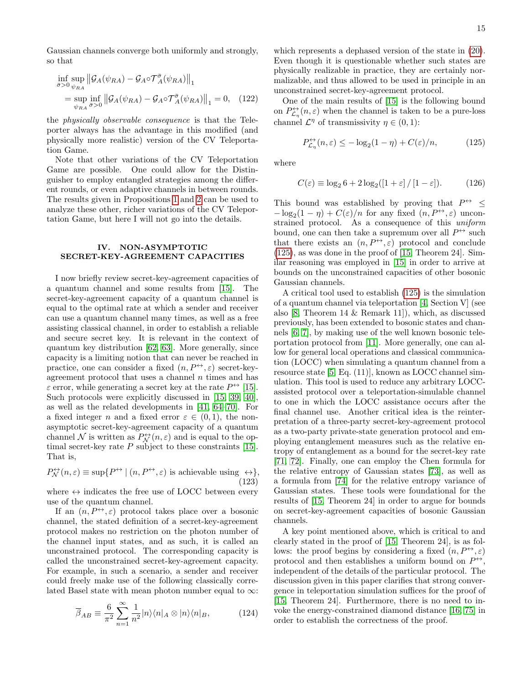Gaussian channels converge both uniformly and strongly, so that

$$
\inf_{\bar{\sigma} > 0} \sup_{\psi_{RA}} \|\mathcal{G}_A(\psi_{RA}) - \mathcal{G}_A \circ \mathcal{T}_A^{\bar{\sigma}}(\psi_{RA})\|_1
$$
\n
$$
= \sup_{\psi_{RA}} \inf_{\bar{\sigma} > 0} \|\mathcal{G}_A(\psi_{RA}) - \mathcal{G}_A \circ \mathcal{T}_A^{\bar{\sigma}}(\psi_{RA})\|_1 = 0, \quad (122)
$$

the physically observable consequence is that the Teleporter always has the advantage in this modified (and physically more realistic) version of the CV Teleportation Game.

Note that other variations of the CV Teleportation Game are possible. One could allow for the Distinguisher to employ entangled strategies among the different rounds, or even adaptive channels in between rounds. The results given in Propositions [1](#page-7-2) and [2](#page-9-3) can be used to analyze these other, richer variations of the CV Teleportation Game, but here I will not go into the details.

#### <span id="page-16-1"></span>IV. NON-ASYMPTOTIC SECRET-KEY-AGREEMENT CAPACITIES

I now briefly review secret-key-agreement capacities of a quantum channel and some results from [\[15\]](#page-19-6). The secret-key-agreement capacity of a quantum channel is equal to the optimal rate at which a sender and receiver can use a quantum channel many times, as well as a free assisting classical channel, in order to establish a reliable and secure secret key. It is relevant in the context of quantum key distribution [\[62,](#page-20-17) [63\]](#page-20-18). More generally, since capacity is a limiting notion that can never be reached in practice, one can consider a fixed  $(n, P^{\leftrightarrow}, \varepsilon)$  secret-keyagreement protocol that uses a channel  $n$  times and has  $\varepsilon$  error, while generating a secret key at the rate  $P^{\leftrightarrow}$  [\[15\]](#page-19-6). Such protocols were explicitly discussed in [\[15,](#page-19-6) [39,](#page-19-25) [40\]](#page-19-26), as well as the related developments in [\[41,](#page-19-22) [64](#page-20-19)[–70\]](#page-20-20). For a fixed integer n and a fixed error  $\varepsilon \in (0,1)$ , the nonasymptotic secret-key-agreement capacity of a quantum channel N is written as  $P_{\mathcal{N}}^{(\rightarrow)}(n,\varepsilon)$  and is equal to the optimal secret-key rate  $P$  subject to these constraints [\[15\]](#page-19-6). That is,

$$
P_N^{\leftrightarrow}(n,\varepsilon) \equiv \sup \{ P^{\leftrightarrow} | (n, P^{\leftrightarrow}, \varepsilon) \text{ is achievable using } \leftrightarrow \},
$$
\n(123)

where  $\leftrightarrow$  indicates the free use of LOCC between every use of the quantum channel.

If an  $(n, P^{\leftrightarrow}, \varepsilon)$  protocol takes place over a bosonic channel, the stated definition of a secret-key-agreement protocol makes no restriction on the photon number of the channel input states, and as such, it is called an unconstrained protocol. The corresponding capacity is called the unconstrained secret-key-agreement capacity. For example, in such a scenario, a sender and receiver could freely make use of the following classically correlated Basel state with mean photon number equal to  $\infty$ :

<span id="page-16-0"></span>
$$
\overline{\beta}_{AB} \equiv \frac{6}{\pi^2} \sum_{n=1}^{\infty} \frac{1}{n^2} |n\rangle\langle n|_A \otimes |n\rangle\langle n|_B, \qquad (124)
$$

which represents a dephased version of the state in [\(20\)](#page-5-0). Even though it is questionable whether such states are physically realizable in practice, they are certainly normalizable, and thus allowed to be used in principle in an unconstrained secret-key-agreement protocol.

One of the main results of [\[15\]](#page-19-6) is the following bound on  $P_{\mathcal{L}_{\eta}}^{\leftrightarrow}(n,\varepsilon)$  when the channel is taken to be a pure-loss channel  $\mathcal{L}^{\eta}$  of transmissivity  $\eta \in (0, 1)$ :

<span id="page-16-2"></span>
$$
P_{\mathcal{L}_{\eta}}^{\leftrightarrow}(n,\varepsilon) \le -\log_2(1-\eta) + C(\varepsilon)/n,\tag{125}
$$

where

$$
C(\varepsilon) \equiv \log_2 6 + 2\log_2([1+\varepsilon]/[1-\varepsilon]).\tag{126}
$$

This bound was established by proving that  $P^{\leftrightarrow}$  <  $-\log_2(1-\eta) + C(\varepsilon)/n$  for any fixed  $(n, P^{\leftrightarrow}, \varepsilon)$  unconstrained protocol. As a consequence of this uniform bound, one can then take a supremum over all  $P^{\leftrightarrow}$  such that there exists an  $(n, P^{\leftrightarrow}, \varepsilon)$  protocol and conclude [\(125\)](#page-16-2), as was done in the proof of [\[15,](#page-19-6) Theorem 24]. Similar reasoning was employed in [\[15\]](#page-19-6) in order to arrive at bounds on the unconstrained capacities of other bosonic Gaussian channels.

A critical tool used to establish [\(125\)](#page-16-2) is the simulation of a quantum channel via teleportation [\[4,](#page-18-3) Section V] (see also [\[8,](#page-18-5) Theorem 14 & Remark 11]), which, as discussed previously, has been extended to bosonic states and channels [\[6,](#page-18-8) [7\]](#page-18-7), by making use of the well known bosonic teleportation protocol from [\[11\]](#page-19-2). More generally, one can allow for general local operations and classical communication (LOCC) when simulating a quantum channel from a resource state [\[5,](#page-18-4) Eq. (11)], known as LOCC channel simulation. This tool is used to reduce any arbitrary LOCCassisted protocol over a teleportation-simulable channel to one in which the LOCC assistance occurs after the final channel use. Another critical idea is the reinterpretation of a three-party secret-key-agreement protocol as a two-party private-state generation protocol and employing entanglement measures such as the relative entropy of entanglement as a bound for the secret-key rate [\[71,](#page-20-21) [72\]](#page-20-22). Finally, one can employ the Chen formula for the relative entropy of Gaussian states [\[73\]](#page-20-23), as well as a formula from [\[74\]](#page-20-24) for the relative entropy variance of Gaussian states. These tools were foundational for the results of [\[15,](#page-19-6) Theorem 24] in order to argue for bounds on secret-key-agreement capacities of bosonic Gaussian channels.

A key point mentioned above, which is critical to and clearly stated in the proof of [\[15,](#page-19-6) Theorem 24], is as follows: the proof begins by considering a fixed  $(n, P^{\leftrightarrow}, \varepsilon)$ protocol and then establishes a uniform bound on  $P^{\leftrightarrow}$ , independent of the details of the particular protocol. The discussion given in this paper clarifies that strong convergence in teleportation simulation suffices for the proof of [\[15,](#page-19-6) Theorem 24]. Furthermore, there is no need to invoke the energy-constrained diamond distance [\[16,](#page-19-7) [75\]](#page-20-25) in order to establish the correctness of the proof.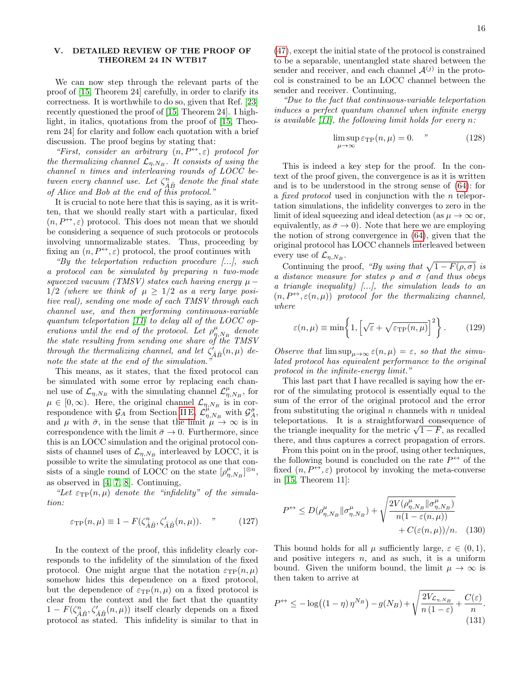#### <span id="page-17-0"></span>V. DETAILED REVIEW OF THE PROOF OF THEOREM 24 IN WTB17

We can now step through the relevant parts of the proof of [\[15,](#page-19-6) Theorem 24] carefully, in order to clarify its correctness. It is worthwhile to do so, given that Ref. [\[23\]](#page-19-14) recently questioned the proof of [\[15,](#page-19-6) Theorem 24]. I highlight, in italics, quotations from the proof of [\[15,](#page-19-6) Theorem 24] for clarity and follow each quotation with a brief discussion. The proof begins by stating that:

"First, consider an arbitrary  $(n, P^{\leftrightarrow}, \varepsilon)$  protocol for the thermalizing channel  $\mathcal{L}_{\eta,N_B}$ . It consists of using the channel n times and interleaving rounds of LOCC between every channel use. Let  $\zeta_{\hat{A}\hat{B}}^n$  denote the final state of Alice and Bob at the end of this protocol."

It is crucial to note here that this is saying, as it is written, that we should really start with a particular, fixed  $(n, P^{\leftrightarrow}, \varepsilon)$  protocol. This does not mean that we should be considering a sequence of such protocols or protocols involving unnormalizable states. Thus, proceeding by fixing an  $(n, P^{\leftrightarrow}, \varepsilon)$  protocol, the proof continues with

"By the teleportation reduction procedure [...], such a protocol can be simulated by preparing n two-mode squeezed vacuum (TMSV) states each having energy  $\mu$  –  $1/2$  (where we think of  $\mu > 1/2$  as a very large positive real), sending one mode of each TMSV through each channel use, and then performing continuous-variable quantum teleportation [\[11\]](#page-19-2) to delay all of the LOCC operations until the end of the protocol. Let  $\rho_{\eta,N_B}^{\mu}$  denote the state resulting from sending one share of the TMSV through the thermalizing channel, and let  $\zeta'_{\hat{A}\hat{B}}(n,\mu)$  denote the state at the end of the simulation.

This means, as it states, that the fixed protocol can be simulated with some error by replacing each channel use of  $\mathcal{L}_{\eta,N_B}$  with the simulating channel  $\mathcal{L}_{\eta,N_B}^{\mu}$ , for  $\mu \in [0, \infty)$ . Here, the original channel  $\mathcal{L}_{\eta, N_B}$  is in correspondence with  $\mathcal{G}_A$  from Section [II E,](#page-10-0)  $\mathcal{L}_{\eta,N_B}^{\mu}$  with  $\mathcal{G}_A^{\bar{\sigma}}$ , and  $\mu$  with  $\bar{\sigma}$ , in the sense that the limit  $\mu \to \infty$  is in correspondence with the limit  $\bar{\sigma} \to 0$ . Furthermore, since this is an LOCC simulation and the original protocol consists of channel uses of  $\mathcal{L}_{\eta,N_B}$  interleaved by LOCC, it is possible to write the simulating protocol as one that consists of a single round of LOCC on the state  $[\rho_{\eta,N_B}^{\mu}]^{\otimes n}$ , as observed in [\[4,](#page-18-3) [7,](#page-18-7) [8\]](#page-18-5). Continuing,

"Let  $\varepsilon_{\text{TP}}(n,\mu)$  denote the "infidelity" of the simulation:

$$
\varepsilon_{\rm TP}(n,\mu) \equiv 1 - F(\zeta_{\hat{A}\hat{B}}^n, \zeta_{\hat{A}\hat{B}}'(n,\mu)). \tag{127}
$$

In the context of the proof, this infidelity clearly corresponds to the infidelity of the simulation of the fixed protocol. One might argue that the notation  $\varepsilon_{\text{TP}}(n,\mu)$ somehow hides this dependence on a fixed protocol, but the dependence of  $\varepsilon_{\text{TP}}(n,\mu)$  on a fixed protocol is clear from the context and the fact that the quantity  $1 - F(\zeta_{\hat{A}\hat{B}}^n, \zeta_{\hat{A}\hat{B}}'(n,\mu))$  itself clearly depends on a fixed protocol as stated. This infidelity is similar to that in

[\(47\)](#page-8-3), except the initial state of the protocol is constrained to be a separable, unentangled state shared between the sender and receiver, and each channel  $\mathcal{A}^{(j)}$  in the protocol is constrained to be an LOCC channel between the sender and receiver. Continuing,

"Due to the fact that continuous-variable teleportation induces a perfect quantum channel when infinite energy is available  $[11]$ , the following limit holds for every n:

$$
\limsup_{\mu \to \infty} \varepsilon_{\rm TP}(n,\mu) = 0. \tag{128}
$$

This is indeed a key step for the proof. In the context of the proof given, the convergence is as it is written and is to be understood in the strong sense of [\(64\)](#page-10-4): for a fixed protocol used in conjunction with the n teleportation simulations, the infidelity converges to zero in the limit of ideal squeezing and ideal detection (as  $\mu \to \infty$  or, equivalently, as  $\bar{\sigma} \rightarrow 0$ ). Note that here we are employing the notion of strong convergence in [\(64\)](#page-10-4), given that the original protocol has LOCC channels interleaved between every use of  $\mathcal{L}_{\eta,N_B}$ .

Continuing the proof, "By using that  $\sqrt{1 - F(\rho, \sigma)}$  is a distance measure for states  $\rho$  and  $\sigma$  (and thus obeys a triangle inequality)  $\langle ... \rangle$ , the simulation leads to an  $(n, P^{\leftrightarrow}, \varepsilon(n,\mu))$  protocol for the thermalizing channel, where

$$
\varepsilon(n,\mu) \equiv \min\left\{1, \left[\sqrt{\varepsilon} + \sqrt{\varepsilon_{\text{TP}}(n,\mu)}\right]^2\right\}.
$$
 (129)

Observe that  $\limsup_{\mu\to\infty} \varepsilon(n,\mu) = \varepsilon$ , so that the simulated protocol has equivalent performance to the original protocol in the infinite-energy limit."

This last part that I have recalled is saying how the error of the simulating protocol is essentially equal to the sum of the error of the original protocol and the error from substituting the original  $n$  channels with  $n$  unideal teleportations. It is a straightforward consequence of the triangle inequality for the metric  $\sqrt{1-F}$ , as recalled there, and thus captures a correct propagation of errors.

From this point on in the proof, using other techniques, the following bound is concluded on the rate  $P^{\leftrightarrow}$  of the fixed  $(n, P^{\leftrightarrow}, \varepsilon)$  protocol by invoking the meta-converse in [\[15,](#page-19-6) Theorem 11]:

$$
P^{\leftrightarrow} \le D(\rho_{\eta,N_B}^{\mu} || \sigma_{\eta,N_B}^{\mu}) + \sqrt{\frac{2V(\rho_{\eta,N_B}^{\mu} || \sigma_{\eta,N_B}^{\mu})}{n(1 - \varepsilon(n,\mu))}}
$$
  
+  $C(\varepsilon(n,\mu))/n$ . (130)

This bound holds for all  $\mu$  sufficiently large,  $\varepsilon \in (0,1)$ , and positive integers  $n$ , and as such, it is a uniform bound. Given the uniform bound, the limit  $\mu \to \infty$  is then taken to arrive at

<span id="page-17-1"></span>
$$
P^{\leftrightarrow} \le -\log((1-\eta)\,\eta^{N_B}) - g(N_B) + \sqrt{\frac{2V_{\mathcal{L}_{\eta,N_B}}}{n\,(1-\varepsilon)}} + \frac{C(\varepsilon)}{n}.\tag{131}
$$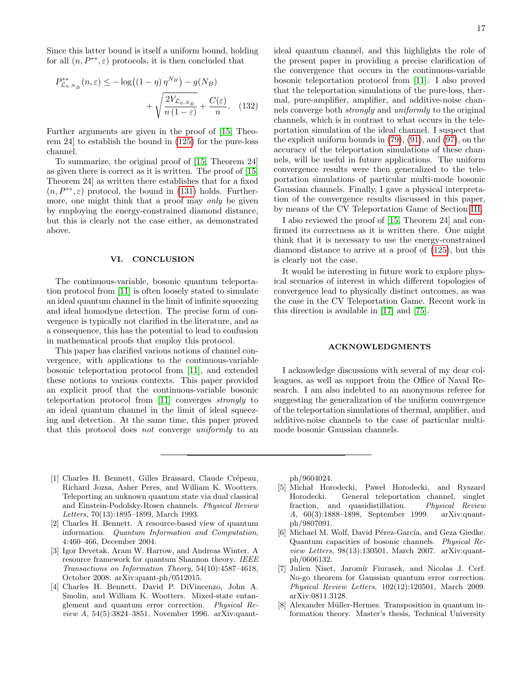Since this latter bound is itself a uniform bound, holding for all  $(n, P^{\leftrightarrow}, \varepsilon)$  protocols, it is then concluded that

$$
P_{\mathcal{L}_{\eta,N_B}}^{\leftrightarrow}(n,\varepsilon) \le -\log\left((1-\eta)\,\eta^{N_B}\right) - g(N_B) + \sqrt{\frac{2V_{\mathcal{L}_{\eta,N_B}}}{n\,(1-\varepsilon)}} + \frac{C(\varepsilon)}{n}.\tag{132}
$$

Further arguments are given in the proof of [\[15,](#page-19-6) Theorem 24] to establish the bound in [\(125\)](#page-16-2) for the pure-loss channel.

To summarize, the original proof of [\[15,](#page-19-6) Theorem 24] as given there is correct as it is written. The proof of [\[15,](#page-19-6) Theorem 24] as written there establishes that for a fixed  $(n, P^{\leftrightarrow}, \varepsilon)$  protocol, the bound in [\(131\)](#page-17-1) holds. Furthermore, one might think that a proof may *only* be given by employing the energy-constrained diamond distance, but this is clearly not the case either, as demonstrated above.

#### <span id="page-18-6"></span>VI. CONCLUSION

The continuous-variable, bosonic quantum teleportation protocol from [\[11\]](#page-19-2) is often loosely stated to simulate an ideal quantum channel in the limit of infinite squeezing and ideal homodyne detection. The precise form of convergence is typically not clarified in the literature, and as a consequence, this has the potential to lead to confusion in mathematical proofs that employ this protocol.

This paper has clarified various notions of channel convergence, with applications to the continuous-variable bosonic teleportation protocol from [\[11\]](#page-19-2), and extended these notions to various contexts. This paper provided an explicit proof that the continuous-variable bosonic teleportation protocol from [\[11\]](#page-19-2) converges strongly to an ideal quantum channel in the limit of ideal squeezing and detection. At the same time, this paper proved that this protocol does not converge uniformly to an

ideal quantum channel, and this highlights the role of the present paper in providing a precise clarification of the convergence that occurs in the continuous-variable bosonic teleportation protocol from [\[11\]](#page-19-2). I also proved that the teleportation simulations of the pure-loss, thermal, pure-amplifier, amplifier, and additive-noise channels converge both strongly and uniformly to the original channels, which is in contrast to what occurs in the teleportation simulation of the ideal channel. I suspect that the explicit uniform bounds in [\(79\)](#page-11-2), [\(91\)](#page-12-3), and [\(97\)](#page-12-4), on the accuracy of the teleportation simulations of these channels, will be useful in future applications. The uniform convergence results were then generalized to the teleportation simulations of particular multi-mode bosonic Gaussian channels. Finally, I gave a physical interpretation of the convergence results discussed in this paper, by means of the CV Teleportation Game of Section [III.](#page-14-0)

I also reviewed the proof of [\[15,](#page-19-6) Theorem 24] and confirmed its correctness as it is written there. One might think that it is necessary to use the energy-constrained diamond distance to arrive at a proof of [\(125\)](#page-16-2), but this is clearly not the case.

It would be interesting in future work to explore physical scenarios of interest in which different topologies of convergence lead to physically distinct outcomes, as was the case in the CV Teleportation Game. Recent work in this direction is available in [\[17\]](#page-19-8) and [\[75\]](#page-20-25).

#### ACKNOWLEDGMENTS

I acknowledge discussions with several of my dear colleagues, as well as support from the Office of Naval Research. I am also indebted to an anonymous referee for suggesting the generalization of the uniform convergence of the teleportation simulations of thermal, amplifier, and additive-noise channels to the case of particular multimode bosonic Gaussian channels.

- <span id="page-18-0"></span>[1] Charles H. Bennett, Gilles Brassard, Claude Crépeau, Richard Jozsa, Asher Peres, and William K. Wootters. Teleporting an unknown quantum state via dual classical and Einstein-Podolsky-Rosen channels. Physical Review Letters, 70(13):1895–1899, March 1993.
- <span id="page-18-1"></span>[2] Charles H. Bennett. A resource-based view of quantum information. Quantum Information and Computation, 4:460–466, December 2004.
- <span id="page-18-2"></span>[3] Igor Devetak, Aram W. Harrow, and Andreas Winter. A resource framework for quantum Shannon theory. IEEE Transactions on Information Theory, 54(10):4587–4618, October 2008. arXiv:quant-ph/0512015.
- <span id="page-18-3"></span>[4] Charles H. Bennett, David P. DiVincenzo, John A. Smolin, and William K. Wootters. Mixed-state entanglement and quantum error correction. Physical Review A, 54(5):3824–3851, November 1996. arXiv:quant-

ph/9604024.

- <span id="page-18-4"></span>[5] Michał Horodecki, Paweł Horodecki, and Ryszard Horodecki. General teleportation channel, singlet fraction, and quasidistillation. Physical Review A, 60(3):1888–1898, September 1999. arXiv:quantph/9807091.
- <span id="page-18-8"></span>[6] Michael M. Wolf, David Pérez-García, and Geza Giedke. Quantum capacities of bosonic channels. Physical Review Letters, 98(13):130501, March 2007. arXiv:quantph/0606132.
- <span id="page-18-7"></span>[7] Julien Niset, Jaromír Fiurasek, and Nicolas J. Cerf. No-go theorem for Gaussian quantum error correction. Physical Review Letters, 102(12):120501, March 2009. arXiv:0811.3128.
- <span id="page-18-5"></span>[8] Alexander Müller-Hermes. Transposition in quantum information theory. Master's thesis, Technical University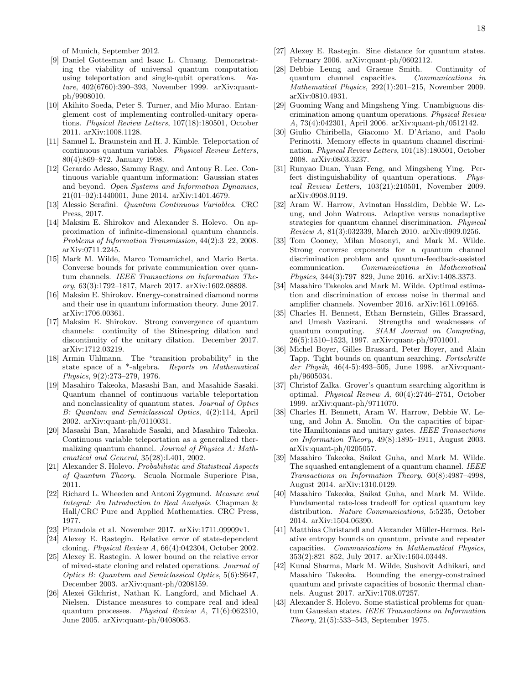of Munich, September 2012.

- <span id="page-19-0"></span>[9] Daniel Gottesman and Isaac L. Chuang. Demonstrating the viability of universal quantum computation using teleportation and single-qubit operations. Nature, 402(6760):390–393, November 1999. arXiv:quantph/9908010.
- <span id="page-19-1"></span>[10] Akihito Soeda, Peter S. Turner, and Mio Murao. Entanglement cost of implementing controlled-unitary operations. Physical Review Letters, 107(18):180501, October 2011. arXiv:1008.1128.
- <span id="page-19-2"></span>[11] Samuel L. Braunstein and H. J. Kimble. Teleportation of continuous quantum variables. Physical Review Letters, 80(4):869–872, January 1998.
- <span id="page-19-3"></span>[12] Gerardo Adesso, Sammy Ragy, and Antony R. Lee. Continuous variable quantum information: Gaussian states and beyond. Open Systems and Information Dynamics, 21(01–02):1440001, June 2014. arXiv:1401.4679.
- <span id="page-19-4"></span>[13] Alessio Serafini. Quantum Continuous Variables. CRC Press, 2017.
- <span id="page-19-5"></span>[14] Maksim E. Shirokov and Alexander S. Holevo. On approximation of infinite-dimensional quantum channels. Problems of Information Transmission, 44(2):3–22, 2008. arXiv:0711.2245.
- <span id="page-19-6"></span>[15] Mark M. Wilde, Marco Tomamichel, and Mario Berta. Converse bounds for private communication over quantum channels. IEEE Transactions on Information Theory, 63(3):1792–1817, March 2017. arXiv:1602.08898.
- <span id="page-19-7"></span>[16] Maksim E. Shirokov. Energy-constrained diamond norms and their use in quantum information theory. June 2017. arXiv:1706.00361.
- <span id="page-19-8"></span>[17] Maksim E. Shirokov. Strong convergence of quantum channels: continuity of the Stinespring dilation and discontinuity of the unitary dilation. December 2017. arXiv:1712.03219.
- <span id="page-19-9"></span>[18] Armin Uhlmann. The "transition probability" in the state space of a \*-algebra. Reports on Mathematical Physics, 9(2):273–279, 1976.
- <span id="page-19-10"></span>[19] Masahiro Takeoka, Masashi Ban, and Masahide Sasaki. Quantum channel of continuous variable teleportation and nonclassicality of quantum states. Journal of Optics B: Quantum and Semiclassical Optics, 4(2):114, April 2002. arXiv:quant-ph/0110031.
- <span id="page-19-11"></span>[20] Masashi Ban, Masahide Sasaki, and Masahiro Takeoka. Continuous variable teleportation as a generalized thermalizing quantum channel. Journal of Physics A: Mathematical and General, 35(28):L401, 2002.
- <span id="page-19-12"></span>[21] Alexander S. Holevo. Probabilistic and Statistical Aspects of Quantum Theory. Scuola Normale Superiore Pisa, 2011.
- <span id="page-19-13"></span>[22] Richard L. Wheeden and Antoni Zygmund. Measure and Integral: An Introduction to Real Analysis. Chapman & Hall/CRC Pure and Applied Mathematics. CRC Press, 1977.
- <span id="page-19-14"></span>[23] Pirandola et al. November 2017. arXiv:1711.09909v1.
- <span id="page-19-15"></span>[24] Alexey E. Rastegin. Relative error of state-dependent cloning. Physical Review A, 66(4):042304, October 2002.
- [25] Alexey E. Rastegin. A lower bound on the relative error of mixed-state cloning and related operations. Journal of Optics B: Quantum and Semiclassical Optics, 5(6):S647, December 2003. arXiv:quant-ph/0208159.
- [26] Alexei Gilchrist, Nathan K. Langford, and Michael A. Nielsen. Distance measures to compare real and ideal quantum processes. Physical Review A, 71(6):062310, June 2005. arXiv:quant-ph/0408063.
- <span id="page-19-16"></span>[27] Alexey E. Rastegin. Sine distance for quantum states. February 2006. arXiv:quant-ph/0602112.
- <span id="page-19-17"></span>[28] Debbie Leung and Graeme Smith. Continuity of quantum channel capacities. Communications in Mathematical Physics, 292(1):201–215, November 2009. arXiv:0810.4931.
- <span id="page-19-18"></span>[29] Guoming Wang and Mingsheng Ying. Unambiguous discrimination among quantum operations. Physical Review A, 73(4):042301, April 2006. arXiv:quant-ph/0512142.
- [30] Giulio Chiribella, Giacomo M. D'Ariano, and Paolo Perinotti. Memory effects in quantum channel discrimination. Physical Review Letters, 101(18):180501, October 2008. arXiv:0803.3237.
- [31] Runyao Duan, Yuan Feng, and Mingsheng Ying. Perfect distinguishability of quantum operations. Physical Review Letters, 103(21):210501, November 2009. arXiv:0908.0119.
- [32] Aram W. Harrow, Avinatan Hassidim, Debbie W. Leung, and John Watrous. Adaptive versus nonadaptive strategies for quantum channel discrimination. Physical Review A, 81(3):032339, March 2010. arXiv:0909.0256.
- <span id="page-19-20"></span>[33] Tom Cooney, Milan Mosonyi, and Mark M. Wilde. Strong converse exponents for a quantum channel discrimination problem and quantum-feedback-assisted communication. Communications in Mathematical Physics, 344(3):797–829, June 2016. arXiv:1408.3373.
- <span id="page-19-19"></span>[34] Masahiro Takeoka and Mark M. Wilde. Optimal estimation and discrimination of excess noise in thermal and amplifier channels. November 2016. arXiv:1611.09165.
- <span id="page-19-21"></span>[35] Charles H. Bennett, Ethan Bernstein, Gilles Brassard, and Umesh Vazirani. Strengths and weaknesses of quantum computing. SIAM Journal on Computing, 26(5):1510–1523, 1997. arXiv:quant-ph/9701001.
- [36] Michel Boyer, Gilles Brassard, Peter Hoyer, and Alain Tapp. Tight bounds on quantum searching. Fortschritte der Physik,  $46(4-5)$ :493-505, June 1998, arXiv:quantph/9605034.
- [37] Christof Zalka. Grover's quantum searching algorithm is optimal. Physical Review A, 60(4):2746–2751, October 1999. arXiv:quant-ph/9711070.
- [38] Charles H. Bennett, Aram W. Harrow, Debbie W. Leung, and John A. Smolin. On the capacities of bipartite Hamiltonians and unitary gates. IEEE Transactions on Information Theory, 49(8):1895–1911, August 2003. arXiv:quant-ph/0205057.
- <span id="page-19-25"></span>[39] Masahiro Takeoka, Saikat Guha, and Mark M. Wilde. The squashed entanglement of a quantum channel. IEEE Transactions on Information Theory, 60(8):4987–4998, August 2014. arXiv:1310.0129.
- <span id="page-19-26"></span>[40] Masahiro Takeoka, Saikat Guha, and Mark M. Wilde. Fundamental rate-loss tradeoff for optical quantum key distribution. Nature Communications, 5:5235, October 2014. arXiv:1504.06390.
- <span id="page-19-22"></span>[41] Matthias Christandl and Alexander Müller-Hermes. Relative entropy bounds on quantum, private and repeater capacities. Communications in Mathematical Physics, 353(2):821–852, July 2017. arXiv:1604.03448.
- <span id="page-19-23"></span>[42] Kunal Sharma, Mark M. Wilde, Sushovit Adhikari, and Masahiro Takeoka. Bounding the energy-constrained quantum and private capacities of bosonic thermal channels. August 2017. arXiv:1708.07257.
- <span id="page-19-24"></span>[43] Alexander S. Holevo. Some statistical problems for quantum Gaussian states. IEEE Transactions on Information Theory, 21(5):533–543, September 1975.